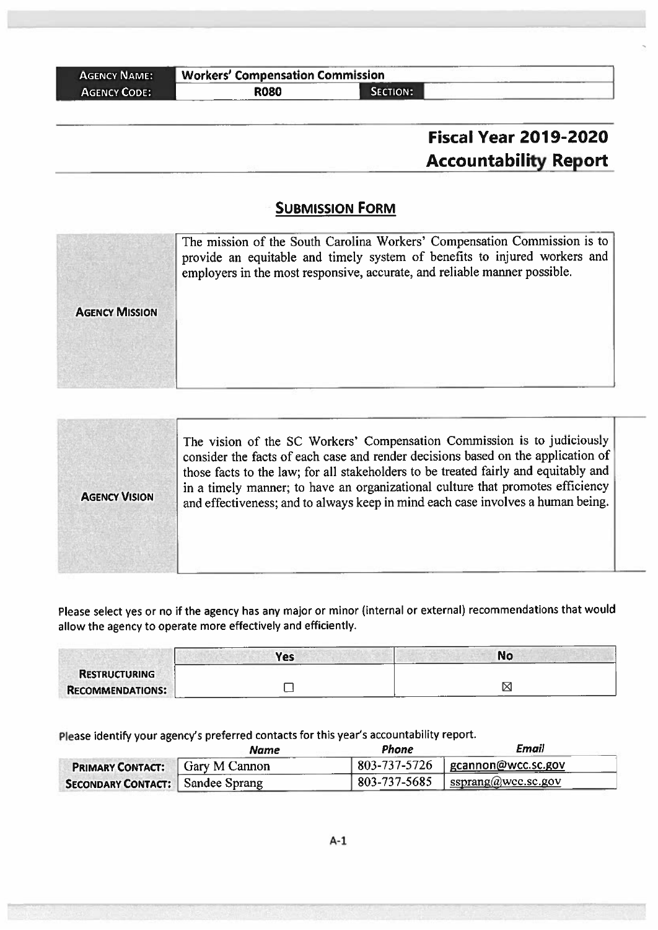**R080** 

SECTION:

# **Fiscal Year 2019-2020 Accountability Report**

# **SUBMISSION FORM**

|                       | The mission of the South Carolina Workers' Compensation Commission is to<br>provide an equitable and timely system of benefits to injured workers and<br>employers in the most responsive, accurate, and reliable manner possible. |
|-----------------------|------------------------------------------------------------------------------------------------------------------------------------------------------------------------------------------------------------------------------------|
| <b>AGENCY MISSION</b> |                                                                                                                                                                                                                                    |
|                       |                                                                                                                                                                                                                                    |
|                       |                                                                                                                                                                                                                                    |
|                       |                                                                                                                                                                                                                                    |

| <b>AGENCY VISION</b> | The vision of the SC Workers' Compensation Commission is to judiciously<br>consider the facts of each case and render decisions based on the application of<br>those facts to the law; for all stakeholders to be treated fairly and equitably and<br>in a timely manner; to have an organizational culture that promotes efficiency<br>and effectiveness; and to always keep in mind each case involves a human being. |
|----------------------|-------------------------------------------------------------------------------------------------------------------------------------------------------------------------------------------------------------------------------------------------------------------------------------------------------------------------------------------------------------------------------------------------------------------------|
|                      |                                                                                                                                                                                                                                                                                                                                                                                                                         |

Please select yes or no if the agency has any major or minor (internal or external) recommendations that would allow the agency to operate more effectively and efficiently.

|                         | Yes | <b>No</b> |
|-------------------------|-----|-----------|
| <b>RESTRUCTURING</b>    |     |           |
| <b>RECOMMENDATIONS:</b> |     |           |

Please identify your agency's preferred contacts for this year's accountability report.

|                                         | Name          | Phone | Email                                           |
|-----------------------------------------|---------------|-------|-------------------------------------------------|
| <b>PRIMARY CONTACT:</b>                 | Gary M Cannon |       | $+803-737-5726$ $ $ gcannon@wcc.sc.gov          |
| <b>SECONDARY CONTACT:</b> Sandee Sprang |               |       | $\vert$ 803-737-5685 $\vert$ ssprang@wcc.sc.gov |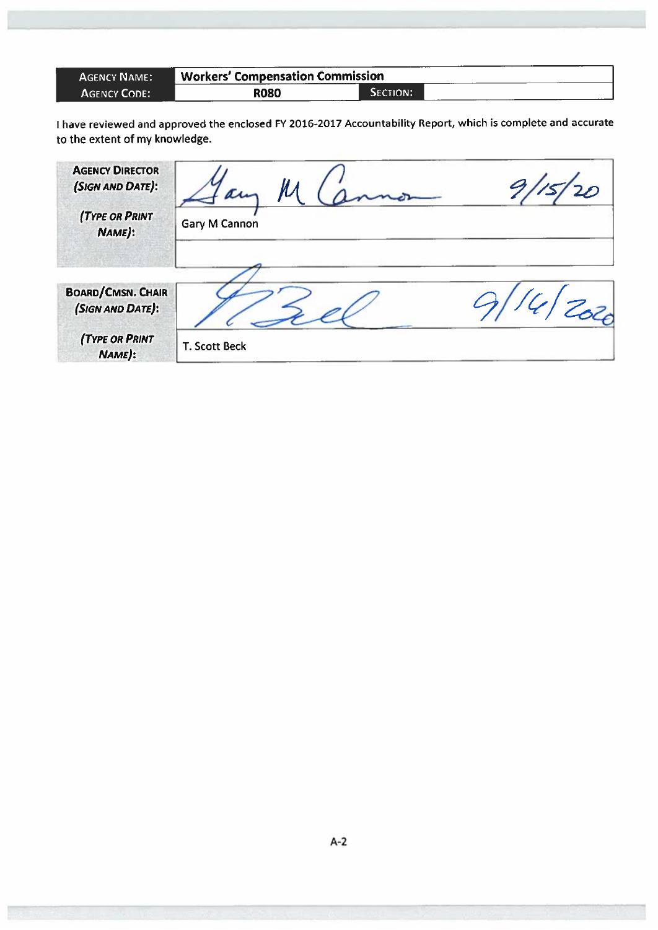| <b>AGENCY NAME:</b> | <b>Workers' Compensation Commission</b> |                 |
|---------------------|-----------------------------------------|-----------------|
| <b>AGENCY CODE:</b> | <b>R080</b>                             | <b>SECTION:</b> |

I have reviewed and approved the enclosed FY 2016-2017 Accountability Report, which is complete and accurate to the extent of my knowledge.

| <b>AGENCY DIRECTOR</b><br>(SIGN AND DATE):<br><b>(TYPE OR PRINT</b><br>NAME): | <b>Gary M Cannon</b> |              |
|-------------------------------------------------------------------------------|----------------------|--------------|
| <b>BOARD/CMSN. CHAIR</b><br>(SIGN AND DATE):                                  |                      | $Z_{0}Z_{0}$ |
| <b>(TYPE OR PRINT</b><br>NAME):                                               | T. Scott Beck        |              |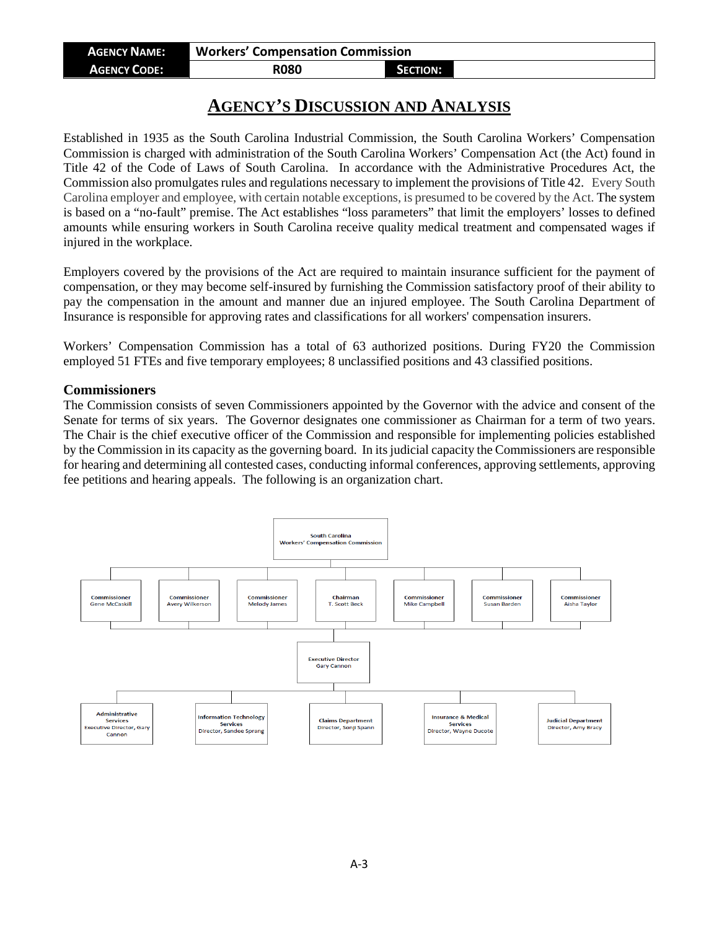| <b>AGENCY NAME:</b> | <b>Workers' Compensation Commission</b> |                 |  |
|---------------------|-----------------------------------------|-----------------|--|
| <b>AGENCY CODE:</b> | <b>R080</b>                             | <b>SECTION:</b> |  |

## **AGENCY'S DISCUSSION AND ANALYSIS**

Established in 1935 as the South Carolina Industrial Commission, the South Carolina Workers' Compensation Commission is charged with administration of the South Carolina Workers' Compensation Act (the Act) found in Title 42 of the Code of Laws of South Carolina. In accordance with the Administrative Procedures Act, the Commission also promulgates rules and regulations necessary to implement the provisions of Title 42. Every South Carolina employer and employee, with certain notable exceptions, is presumed to be covered by the Act. The system is based on a "no-fault" premise. The Act establishes "loss parameters" that limit the employers' losses to defined amounts while ensuring workers in South Carolina receive quality medical treatment and compensated wages if injured in the workplace.

Employers covered by the provisions of the Act are required to maintain insurance sufficient for the payment of compensation, or they may become self-insured by furnishing the Commission satisfactory proof of their ability to pay the compensation in the amount and manner due an injured employee. The South Carolina Department of Insurance is responsible for approving rates and classifications for all workers' compensation insurers.

Workers' Compensation Commission has a total of 63 authorized positions. During FY20 the Commission employed 51 FTEs and five temporary employees; 8 unclassified positions and 43 classified positions.

#### **Commissioners**

The Commission consists of seven Commissioners appointed by the Governor with the advice and consent of the Senate for terms of six years. The Governor designates one commissioner as Chairman for a term of two years. The Chair is the chief executive officer of the Commission and responsible for implementing policies established by the Commission in its capacity as the governing board. In its judicial capacity the Commissioners are responsible for hearing and determining all contested cases, conducting informal conferences, approving settlements, approving fee petitions and hearing appeals. The following is an organization chart.

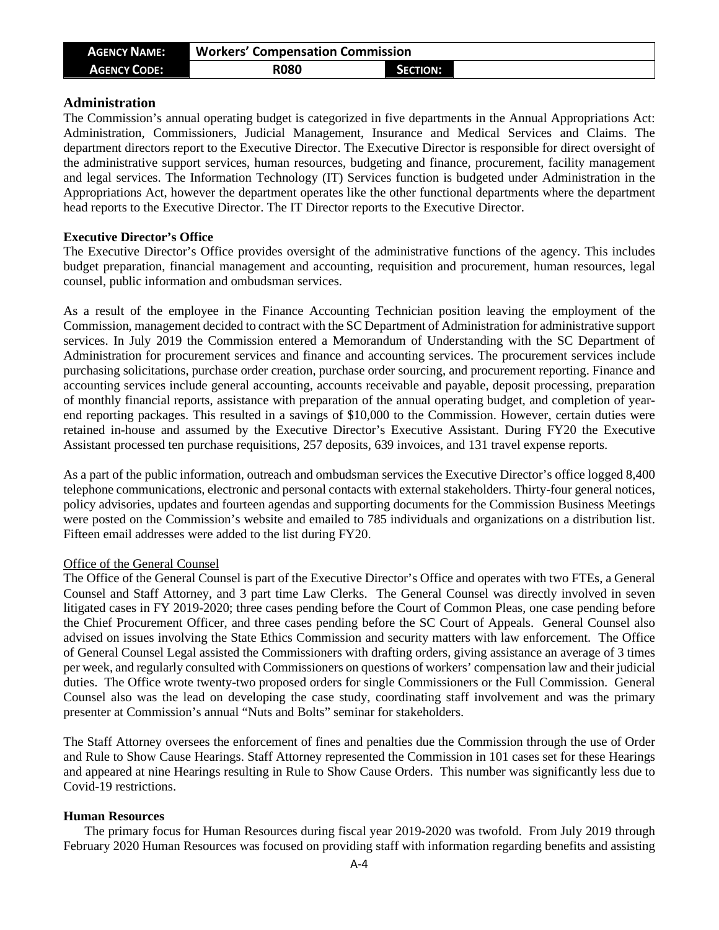| <b>AGENCY NAME:</b> | <b>Workers' Compensation Commission</b> |          |  |
|---------------------|-----------------------------------------|----------|--|
| <b>AGENCY CODE:</b> | <b>R080</b>                             | SECTION: |  |

#### **Administration**

The Commission's annual operating budget is categorized in five departments in the Annual Appropriations Act: Administration, Commissioners, Judicial Management, Insurance and Medical Services and Claims. The department directors report to the Executive Director. The Executive Director is responsible for direct oversight of the administrative support services, human resources, budgeting and finance, procurement, facility management and legal services. The Information Technology (IT) Services function is budgeted under Administration in the Appropriations Act, however the department operates like the other functional departments where the department head reports to the Executive Director. The IT Director reports to the Executive Director.

#### **Executive Director's Office**

The Executive Director's Office provides oversight of the administrative functions of the agency. This includes budget preparation, financial management and accounting, requisition and procurement, human resources, legal counsel, public information and ombudsman services.

As a result of the employee in the Finance Accounting Technician position leaving the employment of the Commission, management decided to contract with the SC Department of Administration for administrative support services. In July 2019 the Commission entered a Memorandum of Understanding with the SC Department of Administration for procurement services and finance and accounting services. The procurement services include purchasing solicitations, purchase order creation, purchase order sourcing, and procurement reporting. Finance and accounting services include general accounting, accounts receivable and payable, deposit processing, preparation of monthly financial reports, assistance with preparation of the annual operating budget, and completion of yearend reporting packages. This resulted in a savings of \$10,000 to the Commission. However, certain duties were retained in-house and assumed by the Executive Director's Executive Assistant. During FY20 the Executive Assistant processed ten purchase requisitions, 257 deposits, 639 invoices, and 131 travel expense reports.

As a part of the public information, outreach and ombudsman services the Executive Director's office logged 8,400 telephone communications, electronic and personal contacts with external stakeholders. Thirty-four general notices, policy advisories, updates and fourteen agendas and supporting documents for the Commission Business Meetings were posted on the Commission's website and emailed to 785 individuals and organizations on a distribution list. Fifteen email addresses were added to the list during FY20.

#### Office of the General Counsel

The Office of the General Counsel is part of the Executive Director's Office and operates with two FTEs, a General Counsel and Staff Attorney, and 3 part time Law Clerks. The General Counsel was directly involved in seven litigated cases in FY 2019-2020; three cases pending before the Court of Common Pleas, one case pending before the Chief Procurement Officer, and three cases pending before the SC Court of Appeals. General Counsel also advised on issues involving the State Ethics Commission and security matters with law enforcement. The Office of General Counsel Legal assisted the Commissioners with drafting orders, giving assistance an average of 3 times per week, and regularly consulted with Commissioners on questions of workers' compensation law and their judicial duties. The Office wrote twenty-two proposed orders for single Commissioners or the Full Commission.General Counsel also was the lead on developing the case study, coordinating staff involvement and was the primary presenter at Commission's annual "Nuts and Bolts" seminar for stakeholders.

The Staff Attorney oversees the enforcement of fines and penalties due the Commission through the use of Order and Rule to Show Cause Hearings. Staff Attorney represented the Commission in 101 cases set for these Hearings and appeared at nine Hearings resulting in Rule to Show Cause Orders. This number was significantly less due to Covid-19 restrictions.

#### **Human Resources**

The primary focus for Human Resources during fiscal year 2019-2020 was twofold. From July 2019 through February 2020 Human Resources was focused on providing staff with information regarding benefits and assisting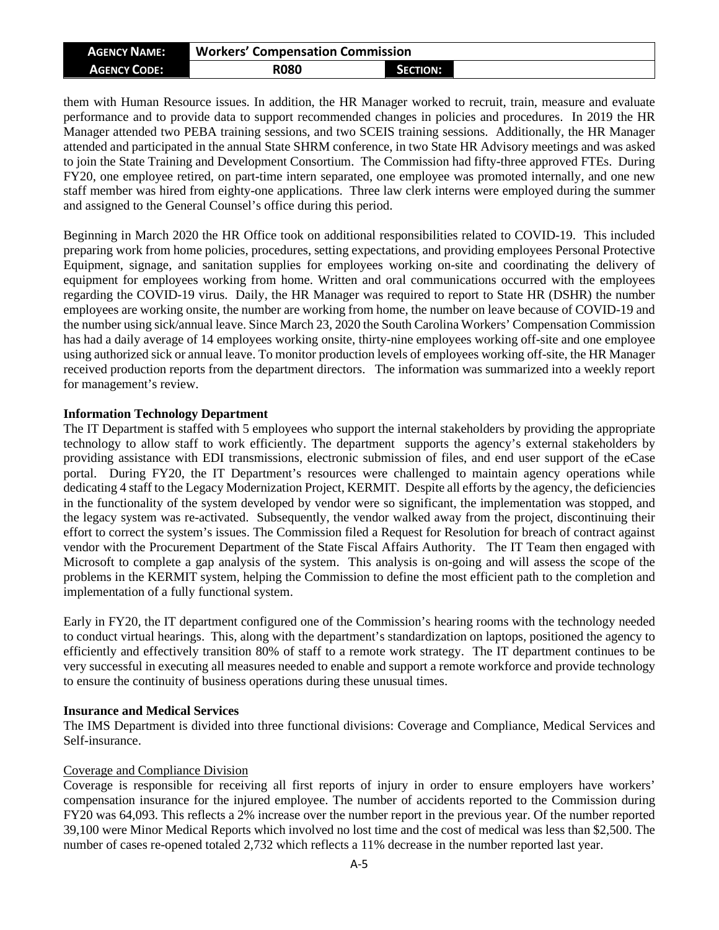| <b>AGENCY NAME:</b> | <b>Workers' Compensation Commission</b> |          |  |
|---------------------|-----------------------------------------|----------|--|
| <b>AGENCY CODE:</b> | R080                                    | SECTION: |  |

them with Human Resource issues. In addition, the HR Manager worked to recruit, train, measure and evaluate performance and to provide data to support recommended changes in policies and procedures. In 2019 the HR Manager attended two PEBA training sessions, and two SCEIS training sessions. Additionally, the HR Manager attended and participated in the annual State SHRM conference, in two State HR Advisory meetings and was asked to join the State Training and Development Consortium. The Commission had fifty-three approved FTEs. During FY20, one employee retired, on part-time intern separated, one employee was promoted internally, and one new staff member was hired from eighty-one applications. Three law clerk interns were employed during the summer and assigned to the General Counsel's office during this period.

Beginning in March 2020 the HR Office took on additional responsibilities related to COVID-19. This included preparing work from home policies, procedures, setting expectations, and providing employees Personal Protective Equipment, signage, and sanitation supplies for employees working on-site and coordinating the delivery of equipment for employees working from home. Written and oral communications occurred with the employees regarding the COVID-19 virus. Daily, the HR Manager was required to report to State HR (DSHR) the number employees are working onsite, the number are working from home, the number on leave because of COVID-19 and the number using sick/annual leave. Since March 23, 2020 the South Carolina Workers' Compensation Commission has had a daily average of 14 employees working onsite, thirty-nine employees working off-site and one employee using authorized sick or annual leave. To monitor production levels of employees working off-site, the HR Manager received production reports from the department directors. The information was summarized into a weekly report for management's review.

#### **Information Technology Department**

The IT Department is staffed with 5 employees who support the internal stakeholders by providing the appropriate technology to allow staff to work efficiently. The department supports the agency's external stakeholders by providing assistance with EDI transmissions, electronic submission of files, and end user support of the eCase portal. During FY20, the IT Department's resources were challenged to maintain agency operations while dedicating 4 staff to the Legacy Modernization Project, KERMIT. Despite all efforts by the agency, the deficiencies in the functionality of the system developed by vendor were so significant, the implementation was stopped, and the legacy system was re-activated. Subsequently, the vendor walked away from the project, discontinuing their effort to correct the system's issues. The Commission filed a Request for Resolution for breach of contract against vendor with the Procurement Department of the State Fiscal Affairs Authority. The IT Team then engaged with Microsoft to complete a gap analysis of the system. This analysis is on-going and will assess the scope of the problems in the KERMIT system, helping the Commission to define the most efficient path to the completion and implementation of a fully functional system.

Early in FY20, the IT department configured one of the Commission's hearing rooms with the technology needed to conduct virtual hearings. This, along with the department's standardization on laptops, positioned the agency to efficiently and effectively transition 80% of staff to a remote work strategy. The IT department continues to be very successful in executing all measures needed to enable and support a remote workforce and provide technology to ensure the continuity of business operations during these unusual times.

#### **Insurance and Medical Services**

The IMS Department is divided into three functional divisions: Coverage and Compliance, Medical Services and Self-insurance.

#### Coverage and Compliance Division

Coverage is responsible for receiving all first reports of injury in order to ensure employers have workers' compensation insurance for the injured employee. The number of accidents reported to the Commission during FY20 was 64,093. This reflects a 2% increase over the number report in the previous year. Of the number reported 39,100 were Minor Medical Reports which involved no lost time and the cost of medical was less than \$2,500. The number of cases re-opened totaled 2,732 which reflects a 11% decrease in the number reported last year.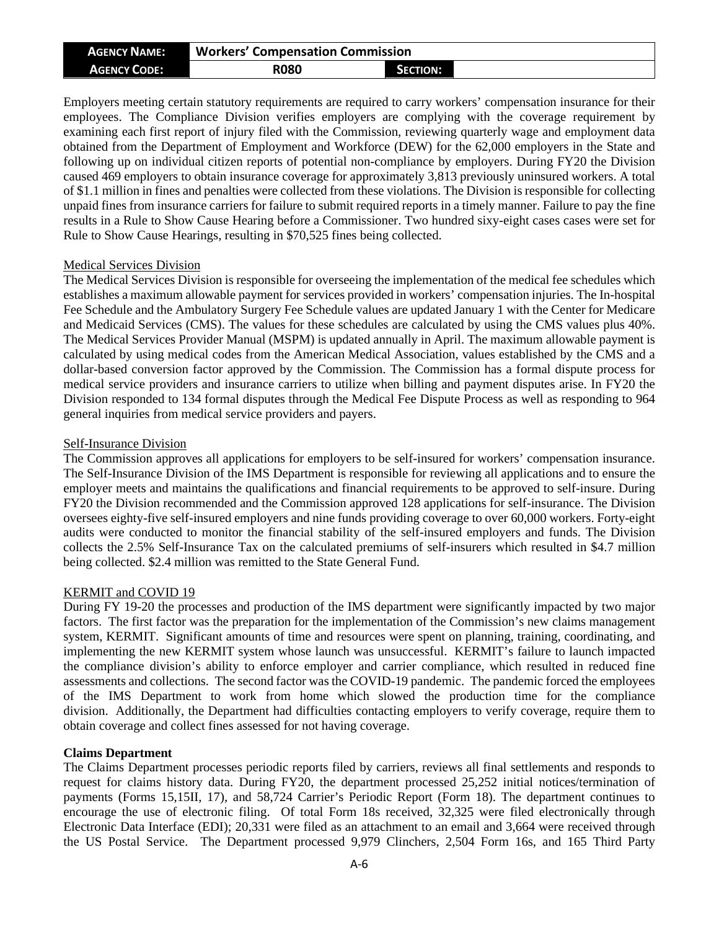| <b>AGENCY NAME:</b> | <b>Workers' Compensation Commission</b> |                 |  |
|---------------------|-----------------------------------------|-----------------|--|
| <b>AGENCY CODE:</b> | R080                                    | <b>SECTION:</b> |  |

Employers meeting certain statutory requirements are required to carry workers' compensation insurance for their employees. The Compliance Division verifies employers are complying with the coverage requirement by examining each first report of injury filed with the Commission, reviewing quarterly wage and employment data obtained from the Department of Employment and Workforce (DEW) for the 62,000 employers in the State and following up on individual citizen reports of potential non-compliance by employers. During FY20 the Division caused 469 employers to obtain insurance coverage for approximately 3,813 previously uninsured workers. A total of \$1.1 million in fines and penalties were collected from these violations. The Division is responsible for collecting unpaid fines from insurance carriers for failure to submit required reports in a timely manner. Failure to pay the fine results in a Rule to Show Cause Hearing before a Commissioner. Two hundred sixy-eight cases cases were set for Rule to Show Cause Hearings, resulting in \$70,525 fines being collected.

#### Medical Services Division

The Medical Services Division is responsible for overseeing the implementation of the medical fee schedules which establishes a maximum allowable payment for services provided in workers' compensation injuries. The In-hospital Fee Schedule and the Ambulatory Surgery Fee Schedule values are updated January 1 with the Center for Medicare and Medicaid Services (CMS). The values for these schedules are calculated by using the CMS values plus 40%. The Medical Services Provider Manual (MSPM) is updated annually in April. The maximum allowable payment is calculated by using medical codes from the American Medical Association, values established by the CMS and a dollar-based conversion factor approved by the Commission. The Commission has a formal dispute process for medical service providers and insurance carriers to utilize when billing and payment disputes arise. In FY20 the Division responded to 134 formal disputes through the Medical Fee Dispute Process as well as responding to 964 general inquiries from medical service providers and payers.

#### Self-Insurance Division

The Commission approves all applications for employers to be self-insured for workers' compensation insurance. The Self-Insurance Division of the IMS Department is responsible for reviewing all applications and to ensure the employer meets and maintains the qualifications and financial requirements to be approved to self-insure. During FY20 the Division recommended and the Commission approved 128 applications for self-insurance. The Division oversees eighty-five self-insured employers and nine funds providing coverage to over 60,000 workers. Forty-eight audits were conducted to monitor the financial stability of the self-insured employers and funds. The Division collects the 2.5% Self-Insurance Tax on the calculated premiums of self-insurers which resulted in \$4.7 million being collected. \$2.4 million was remitted to the State General Fund.

#### KERMIT and COVID 19

During FY 19-20 the processes and production of the IMS department were significantly impacted by two major factors. The first factor was the preparation for the implementation of the Commission's new claims management system, KERMIT. Significant amounts of time and resources were spent on planning, training, coordinating, and implementing the new KERMIT system whose launch was unsuccessful. KERMIT's failure to launch impacted the compliance division's ability to enforce employer and carrier compliance, which resulted in reduced fine assessments and collections. The second factor was the COVID-19 pandemic. The pandemic forced the employees of the IMS Department to work from home which slowed the production time for the compliance division. Additionally, the Department had difficulties contacting employers to verify coverage, require them to obtain coverage and collect fines assessed for not having coverage.

#### **Claims Department**

The Claims Department processes periodic reports filed by carriers, reviews all final settlements and responds to request for claims history data. During FY20, the department processed 25,252 initial notices/termination of payments (Forms 15,15II, 17), and 58,724 Carrier's Periodic Report (Form 18). The department continues to encourage the use of electronic filing. Of total Form 18s received, 32,325 were filed electronically through Electronic Data Interface (EDI); 20,331 were filed as an attachment to an email and 3,664 were received through the US Postal Service. The Department processed 9,979 Clinchers, 2,504 Form 16s, and 165 Third Party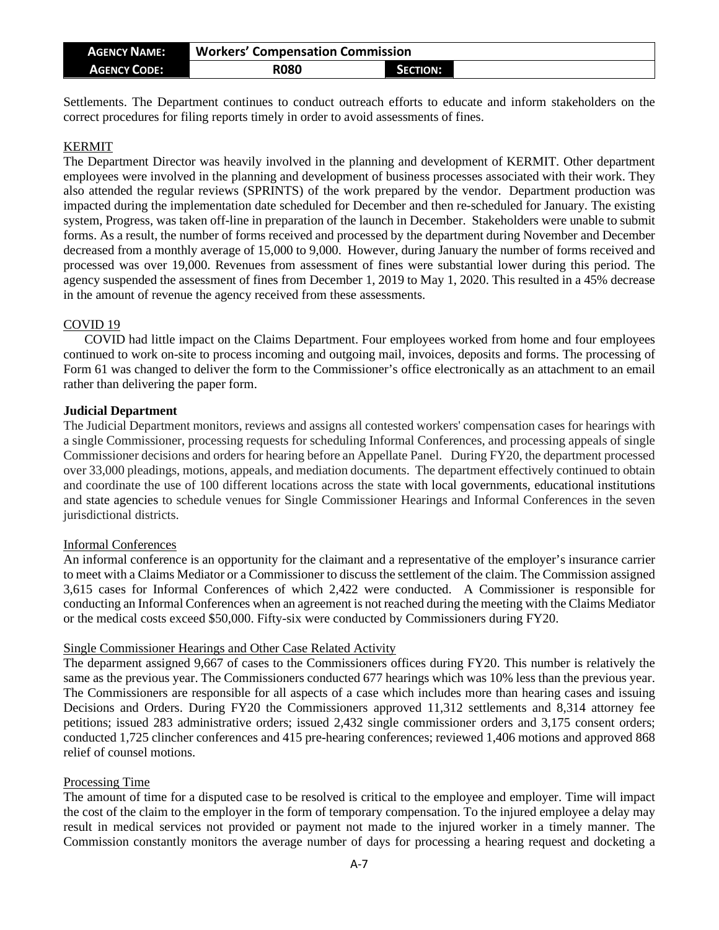| <b>AGENCY NAME:</b> | <b>Workers' Compensation Commission</b> |                 |  |
|---------------------|-----------------------------------------|-----------------|--|
| <b>AGENCY CODE:</b> | <b>R080</b>                             | <b>SECTION:</b> |  |

Settlements. The Department continues to conduct outreach efforts to educate and inform stakeholders on the correct procedures for filing reports timely in order to avoid assessments of fines.

#### KERMIT

The Department Director was heavily involved in the planning and development of KERMIT. Other department employees were involved in the planning and development of business processes associated with their work. They also attended the regular reviews (SPRINTS) of the work prepared by the vendor. Department production was impacted during the implementation date scheduled for December and then re-scheduled for January. The existing system, Progress, was taken off-line in preparation of the launch in December. Stakeholders were unable to submit forms. As a result, the number of forms received and processed by the department during November and December decreased from a monthly average of 15,000 to 9,000. However, during January the number of forms received and processed was over 19,000. Revenues from assessment of fines were substantial lower during this period. The agency suspended the assessment of fines from December 1, 2019 to May 1, 2020. This resulted in a 45% decrease in the amount of revenue the agency received from these assessments.

#### COVID 19

COVID had little impact on the Claims Department. Four employees worked from home and four employees continued to work on-site to process incoming and outgoing mail, invoices, deposits and forms. The processing of Form 61 was changed to deliver the form to the Commissioner's office electronically as an attachment to an email rather than delivering the paper form.

#### **Judicial Department**

The Judicial Department monitors, reviews and assigns all contested workers' compensation cases for hearings with a single Commissioner, processing requests for scheduling Informal Conferences, and processing appeals of single Commissioner decisions and orders for hearing before an Appellate Panel. During FY20, the department processed over 33,000 pleadings, motions, appeals, and mediation documents. The department effectively continued to obtain and coordinate the use of 100 different locations across the state with local governments, educational institutions and state agencies to schedule venues for Single Commissioner Hearings and Informal Conferences in the seven jurisdictional districts.

#### Informal Conferences

An informal conference is an opportunity for the claimant and a representative of the employer's insurance carrier to meet with a Claims Mediator or a Commissioner to discuss the settlement of the claim. The Commission assigned 3,615 cases for Informal Conferences of which 2,422 were conducted. A Commissioner is responsible for conducting an Informal Conferences when an agreement is not reached during the meeting with the Claims Mediator or the medical costs exceed \$50,000. Fifty-six were conducted by Commissioners during FY20.

#### Single Commissioner Hearings and Other Case Related Activity

The deparment assigned 9,667 of cases to the Commissioners offices during FY20. This number is relatively the same as the previous year. The Commissioners conducted 677 hearings which was 10% less than the previous year. The Commissioners are responsible for all aspects of a case which includes more than hearing cases and issuing Decisions and Orders. During FY20 the Commissioners approved 11,312 settlements and 8,314 attorney fee petitions; issued 283 administrative orders; issued 2,432 single commissioner orders and 3,175 consent orders; conducted 1,725 clincher conferences and 415 pre-hearing conferences; reviewed 1,406 motions and approved 868 relief of counsel motions.

#### Processing Time

The amount of time for a disputed case to be resolved is critical to the employee and employer. Time will impact the cost of the claim to the employer in the form of temporary compensation. To the injured employee a delay may result in medical services not provided or payment not made to the injured worker in a timely manner. The Commission constantly monitors the average number of days for processing a hearing request and docketing a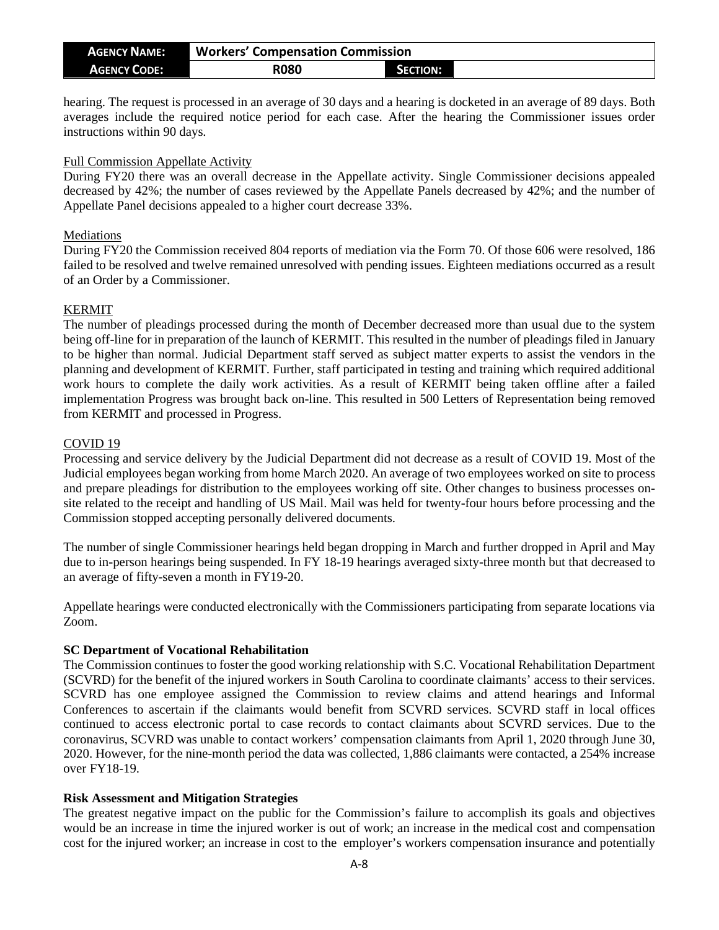| <b>AGENCY NAME:</b> | <b>Workers' Compensation Commission</b> |                 |  |
|---------------------|-----------------------------------------|-----------------|--|
| <b>AGENCY CODE:</b> | R080                                    | <b>SECTION:</b> |  |

hearing. The request is processed in an average of 30 days and a hearing is docketed in an average of 89 days. Both averages include the required notice period for each case. After the hearing the Commissioner issues order instructions within 90 days.

#### Full Commission Appellate Activity

During FY20 there was an overall decrease in the Appellate activity. Single Commissioner decisions appealed decreased by 42%; the number of cases reviewed by the Appellate Panels decreased by 42%; and the number of Appellate Panel decisions appealed to a higher court decrease 33%.

#### Mediations

During FY20 the Commission received 804 reports of mediation via the Form 70. Of those 606 were resolved, 186 failed to be resolved and twelve remained unresolved with pending issues. Eighteen mediations occurred as a result of an Order by a Commissioner.

#### KERMIT

The number of pleadings processed during the month of December decreased more than usual due to the system being off-line for in preparation of the launch of KERMIT. This resulted in the number of pleadings filed in January to be higher than normal. Judicial Department staff served as subject matter experts to assist the vendors in the planning and development of KERMIT. Further, staff participated in testing and training which required additional work hours to complete the daily work activities. As a result of KERMIT being taken offline after a failed implementation Progress was brought back on-line. This resulted in 500 Letters of Representation being removed from KERMIT and processed in Progress.

#### COVID 19

Processing and service delivery by the Judicial Department did not decrease as a result of COVID 19. Most of the Judicial employees began working from home March 2020. An average of two employees worked on site to process and prepare pleadings for distribution to the employees working off site. Other changes to business processes onsite related to the receipt and handling of US Mail. Mail was held for twenty-four hours before processing and the Commission stopped accepting personally delivered documents.

The number of single Commissioner hearings held began dropping in March and further dropped in April and May due to in-person hearings being suspended. In FY 18-19 hearings averaged sixty-three month but that decreased to an average of fifty-seven a month in FY19-20.

Appellate hearings were conducted electronically with the Commissioners participating from separate locations via Zoom.

#### **SC Department of Vocational Rehabilitation**

The Commission continues to foster the good working relationship with S.C. Vocational Rehabilitation Department (SCVRD) for the benefit of the injured workers in South Carolina to coordinate claimants' access to their services. SCVRD has one employee assigned the Commission to review claims and attend hearings and Informal Conferences to ascertain if the claimants would benefit from SCVRD services. SCVRD staff in local offices continued to access electronic portal to case records to contact claimants about SCVRD services. Due to the coronavirus, SCVRD was unable to contact workers' compensation claimants from April 1, 2020 through June 30, 2020. However, for the nine-month period the data was collected, 1,886 claimants were contacted, a 254% increase over FY18-19.

#### **Risk Assessment and Mitigation Strategies**

The greatest negative impact on the public for the Commission's failure to accomplish its goals and objectives would be an increase in time the injured worker is out of work; an increase in the medical cost and compensation cost for the injured worker; an increase in cost to the employer's workers compensation insurance and potentially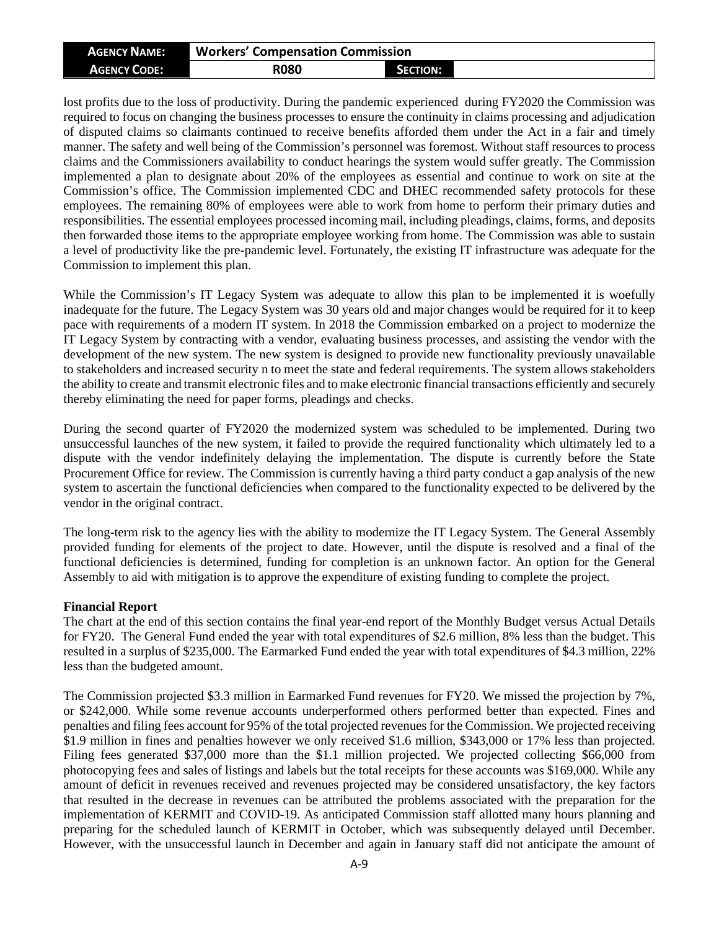| <b>AGENCY NAME:</b> | <b>Workers' Compensation Commission</b> |          |  |
|---------------------|-----------------------------------------|----------|--|
| <b>AGENCY CODE:</b> | R080                                    | Section: |  |

lost profits due to the loss of productivity. During the pandemic experienced during FY2020 the Commission was required to focus on changing the business processes to ensure the continuity in claims processing and adjudication of disputed claims so claimants continued to receive benefits afforded them under the Act in a fair and timely manner. The safety and well being of the Commission's personnel was foremost. Without staff resources to process claims and the Commissioners availability to conduct hearings the system would suffer greatly. The Commission implemented a plan to designate about 20% of the employees as essential and continue to work on site at the Commission's office. The Commission implemented CDC and DHEC recommended safety protocols for these employees. The remaining 80% of employees were able to work from home to perform their primary duties and responsibilities. The essential employees processed incoming mail, including pleadings, claims, forms, and deposits then forwarded those items to the appropriate employee working from home. The Commission was able to sustain a level of productivity like the pre-pandemic level. Fortunately, the existing IT infrastructure was adequate for the Commission to implement this plan.

While the Commission's IT Legacy System was adequate to allow this plan to be implemented it is woefully inadequate for the future. The Legacy System was 30 years old and major changes would be required for it to keep pace with requirements of a modern IT system. In 2018 the Commission embarked on a project to modernize the IT Legacy System by contracting with a vendor, evaluating business processes, and assisting the vendor with the development of the new system. The new system is designed to provide new functionality previously unavailable to stakeholders and increased security n to meet the state and federal requirements. The system allows stakeholders the ability to create and transmit electronic files and to make electronic financial transactions efficiently and securely thereby eliminating the need for paper forms, pleadings and checks.

During the second quarter of FY2020 the modernized system was scheduled to be implemented. During two unsuccessful launches of the new system, it failed to provide the required functionality which ultimately led to a dispute with the vendor indefinitely delaying the implementation. The dispute is currently before the State Procurement Office for review. The Commission is currently having a third party conduct a gap analysis of the new system to ascertain the functional deficiencies when compared to the functionality expected to be delivered by the vendor in the original contract.

The long-term risk to the agency lies with the ability to modernize the IT Legacy System. The General Assembly provided funding for elements of the project to date. However, until the dispute is resolved and a final of the functional deficiencies is determined, funding for completion is an unknown factor. An option for the General Assembly to aid with mitigation is to approve the expenditure of existing funding to complete the project.

#### **Financial Report**

The chart at the end of this section contains the final year-end report of the Monthly Budget versus Actual Details for FY20. The General Fund ended the year with total expenditures of \$2.6 million, 8% less than the budget. This resulted in a surplus of \$235,000. The Earmarked Fund ended the year with total expenditures of \$4.3 million, 22% less than the budgeted amount.

The Commission projected \$3.3 million in Earmarked Fund revenues for FY20. We missed the projection by 7%, or \$242,000. While some revenue accounts underperformed others performed better than expected. Fines and penalties and filing fees account for 95% of the total projected revenues for the Commission. We projected receiving \$1.9 million in fines and penalties however we only received \$1.6 million, \$343,000 or 17% less than projected. Filing fees generated \$37,000 more than the \$1.1 million projected. We projected collecting \$66,000 from photocopying fees and sales of listings and labels but the total receipts for these accounts was \$169,000. While any amount of deficit in revenues received and revenues projected may be considered unsatisfactory, the key factors that resulted in the decrease in revenues can be attributed the problems associated with the preparation for the implementation of KERMIT and COVID-19. As anticipated Commission staff allotted many hours planning and preparing for the scheduled launch of KERMIT in October, which was subsequently delayed until December. However, with the unsuccessful launch in December and again in January staff did not anticipate the amount of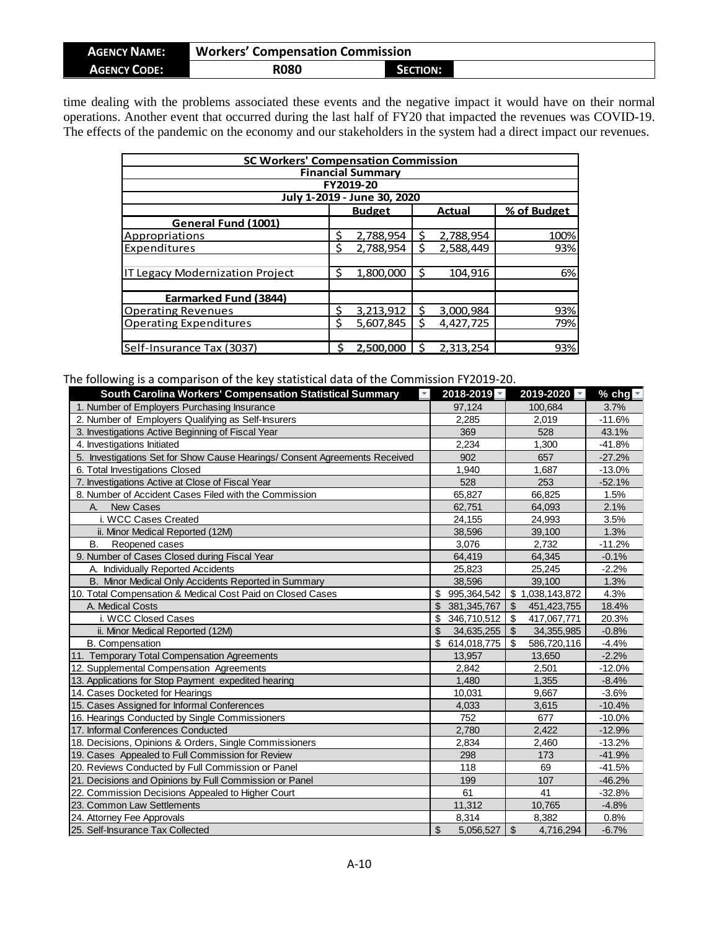| <b>AGENCY NAME:</b> | <b>Workers' Compensation Commission</b> |                 |  |
|---------------------|-----------------------------------------|-----------------|--|
| <b>AGENCY CODE:</b> | R080                                    | <b>SECTION:</b> |  |

time dealing with the problems associated these events and the negative impact it would have on their normal operations. Another event that occurred during the last half of FY20 that impacted the revenues was COVID-19. The effects of the pandemic on the economy and our stakeholders in the system had a direct impact our revenues.

|                                               | <b>SC Workers' Compensation Commission</b> |                          |   |           |      |  |  |  |  |  |  |  |  |  |
|-----------------------------------------------|--------------------------------------------|--------------------------|---|-----------|------|--|--|--|--|--|--|--|--|--|
|                                               |                                            | <b>Financial Summary</b> |   |           |      |  |  |  |  |  |  |  |  |  |
|                                               |                                            | FY2019-20                |   |           |      |  |  |  |  |  |  |  |  |  |
| July 1-2019 - June 30, 2020                   |                                            |                          |   |           |      |  |  |  |  |  |  |  |  |  |
| % of Budget<br><b>Budget</b><br><b>Actual</b> |                                            |                          |   |           |      |  |  |  |  |  |  |  |  |  |
| General Fund (1001)                           |                                            |                          |   |           |      |  |  |  |  |  |  |  |  |  |
| Appropriations                                | S                                          | 2,788,954                |   | 2,788,954 | 100% |  |  |  |  |  |  |  |  |  |
| Expenditures                                  | S                                          | 2,788,954                |   | 2,588,449 | 93%  |  |  |  |  |  |  |  |  |  |
|                                               |                                            |                          |   |           |      |  |  |  |  |  |  |  |  |  |
| <b>IT Legacy Modernization Project</b>        | Ŝ.                                         | 1,800,000                | Ś | 104.916   | 6%   |  |  |  |  |  |  |  |  |  |
|                                               |                                            |                          |   |           |      |  |  |  |  |  |  |  |  |  |
| <b>Earmarked Fund (3844)</b>                  |                                            |                          |   |           |      |  |  |  |  |  |  |  |  |  |
| <b>Operating Revenues</b>                     | S                                          | 3,213,912                | Ś | 3,000,984 | 93%  |  |  |  |  |  |  |  |  |  |
| <b>Operating Expenditures</b>                 | S                                          | 5.607.845                |   | 4,427,725 | 79%  |  |  |  |  |  |  |  |  |  |
|                                               |                                            |                          |   |           |      |  |  |  |  |  |  |  |  |  |
| Self-Insurance Tax (3037)                     | \$                                         | 2,500,000                |   | 2.313.254 | 93%  |  |  |  |  |  |  |  |  |  |

The following is a comparison of the key statistical data of the Commission FY2019-20.

| South Carolina Workers' Compensation Statistical Summary<br>$\overline{\phantom{a}}$ | 2018-2019           | 2019-2020                             | % chg $\square$ |
|--------------------------------------------------------------------------------------|---------------------|---------------------------------------|-----------------|
| 1. Number of Employers Purchasing Insurance                                          | 97,124              | 100,684                               | 3.7%            |
| 2. Number of Employers Qualifying as Self-Insurers                                   | 2,285               | 2.019                                 | $-11.6%$        |
| 3. Investigations Active Beginning of Fiscal Year                                    | 369                 | 528                                   | 43.1%           |
| 4. Investigations Initiated                                                          | 2,234               | 1,300                                 | $-41.8%$        |
| 5. Investigations Set for Show Cause Hearings/ Consent Agreements Received           | 902                 | 657                                   | $-27.2%$        |
| 6. Total Investigations Closed                                                       | 1,940               | 1,687                                 | $-13.0%$        |
| 7. Investigations Active at Close of Fiscal Year                                     | 528                 | 253                                   | $-52.1%$        |
| 8. Number of Accident Cases Filed with the Commission                                | 65,827              | 66,825                                | 1.5%            |
| Α.<br><b>New Cases</b>                                                               | 62,751              | 64,093                                | 2.1%            |
| i. WCC Cases Created                                                                 | 24,155              | 24,993                                | 3.5%            |
| ii. Minor Medical Reported (12M)                                                     | 38,596              | 39,100                                | 1.3%            |
| <b>B.</b><br>Reopened cases                                                          | 3,076               | 2,732                                 | $-11.2%$        |
| 9. Number of Cases Closed during Fiscal Year                                         | 64,419              | 64,345                                | $-0.1%$         |
| A. Individually Reported Accidents                                                   | 25.823              | 25.245                                | $-2.2%$         |
| B. Minor Medical Only Accidents Reported in Summary                                  | 38,596              | 39,100                                | 1.3%            |
| 10. Total Compensation & Medical Cost Paid on Closed Cases                           | 995,364,542<br>\$   | \$1,038,143,872                       | 4.3%            |
| A. Medical Costs                                                                     | \$<br>381, 345, 767 | $\mathsf{\$}$<br>451,423,755          | 18.4%           |
| i. WCC Closed Cases                                                                  | \$<br>346,710,512   | \$<br>417,067,771                     | 20.3%           |
| ii. Minor Medical Reported (12M)                                                     | \$<br>34,635,255    | $\sqrt[6]{\frac{1}{2}}$<br>34,355,985 | $-0.8%$         |
| <b>B.</b> Compensation                                                               | \$<br>614,018,775   | \$<br>586,720,116                     | $-4.4%$         |
| 11. Temporary Total Compensation Agreements                                          | 13,957              | 13,650                                | $-2.2%$         |
| 12. Supplemental Compensation Agreements                                             | 2,842               | 2,501                                 | $-12.0%$        |
| 13. Applications for Stop Payment expedited hearing                                  | 1.480               | 1,355                                 | $-8.4%$         |
| 14. Cases Docketed for Hearings                                                      | 10,031              | 9.667                                 | $-3.6%$         |
| 15. Cases Assigned for Informal Conferences                                          | 4,033               | 3,615                                 | $-10.4%$        |
| 16. Hearings Conducted by Single Commissioners                                       | 752                 | 677                                   | $-10.0%$        |
| 17. Informal Conferences Conducted                                                   | 2,780               | 2,422                                 | $-12.9%$        |
| 18. Decisions, Opinions & Orders, Single Commissioners                               | 2,834               | 2,460                                 | $-13.2%$        |
| 19. Cases Appealed to Full Commission for Review                                     | 298                 | 173                                   | $-41.9%$        |
| 20. Reviews Conducted by Full Commission or Panel                                    | 118                 | 69                                    | $-41.5%$        |
| 21. Decisions and Opinions by Full Commission or Panel                               | 199                 | 107                                   | $-46.2%$        |
| 22. Commission Decisions Appealed to Higher Court                                    | 61                  | 41                                    | $-32.8%$        |
| 23. Common Law Settlements                                                           | 11,312              | 10,765                                | $-4.8%$         |
| 24. Attorney Fee Approvals                                                           | 8,314               | 8.382                                 | 0.8%            |
| 25. Self-Insurance Tax Collected                                                     | \$<br>5,056,527     | $\mathfrak{S}$<br>4,716,294           | $-6.7%$         |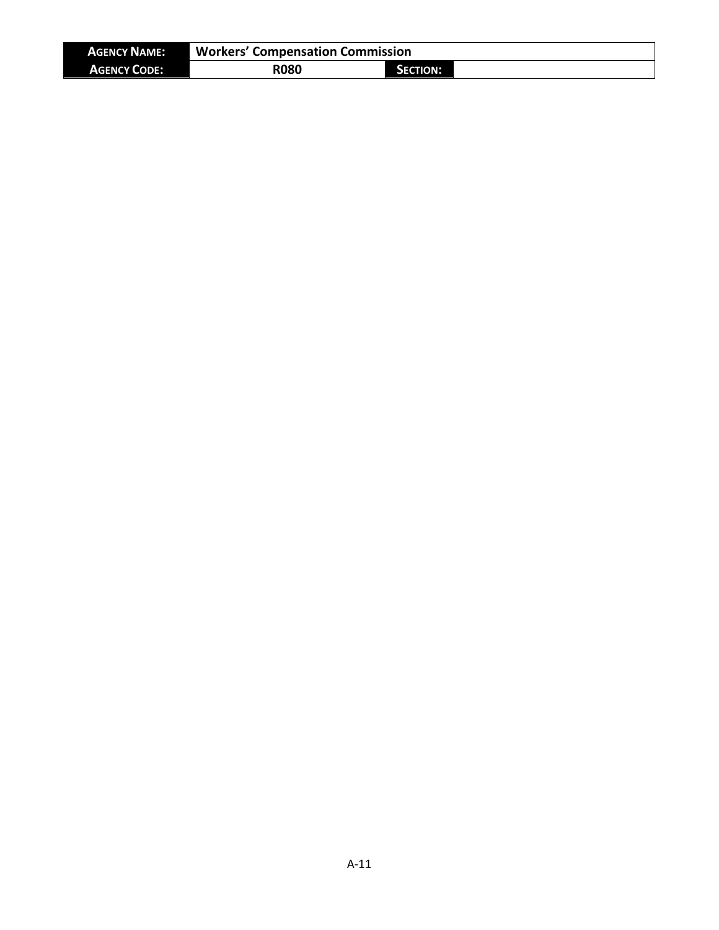| <b>AGENCY NAME:</b> | <b>Workers' Compensation Commission</b> |                 |
|---------------------|-----------------------------------------|-----------------|
| <b>AGENCY CODE:</b> | <b>R080</b>                             | <b>SECTION:</b> |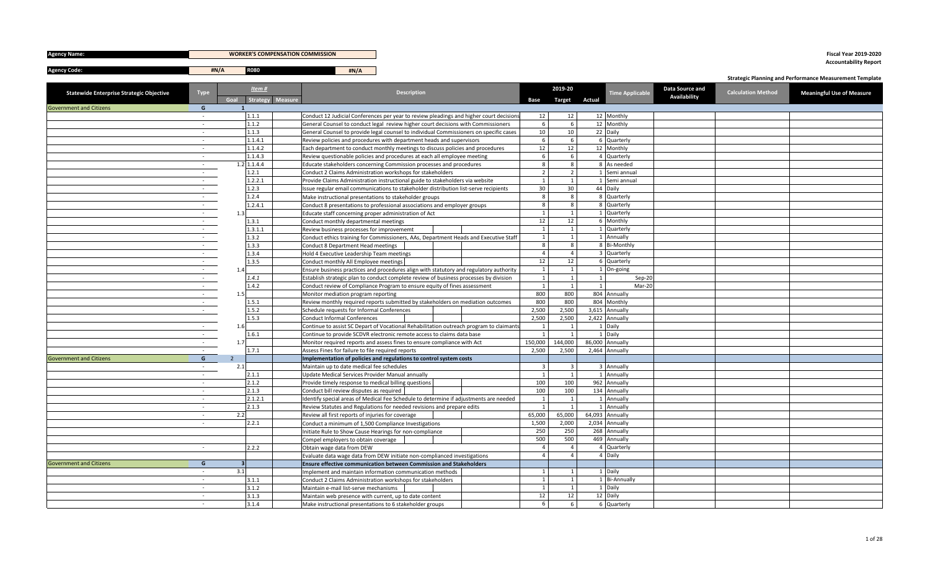| <b>Agency Name:</b>                             |                  | <b>WORKER'S COMPENSATION COMMISSION</b>            |                                                                                                  |                    |  |                         |                      |              |                            |                 |                           | <b>Fiscal Year 2019-2020</b>                                   |
|-------------------------------------------------|------------------|----------------------------------------------------|--------------------------------------------------------------------------------------------------|--------------------|--|-------------------------|----------------------|--------------|----------------------------|-----------------|---------------------------|----------------------------------------------------------------|
| <b>Agency Code:</b>                             | #N/A             | <b>R080</b>                                        | #N/A                                                                                             |                    |  |                         |                      |              |                            |                 |                           | <b>Accountability Report</b>                                   |
|                                                 |                  |                                                    |                                                                                                  |                    |  |                         |                      |              |                            |                 |                           | <b>Strategic Planning and Performance Measurement Template</b> |
|                                                 |                  | Item#                                              |                                                                                                  |                    |  |                         | 2019-20              |              |                            | Data Source and |                           |                                                                |
| <b>Statewide Enterprise Strategic Objective</b> | <b>Type</b>      |                                                    |                                                                                                  | <b>Description</b> |  |                         |                      |              | Time Applicable            | Availability    | <b>Calculation Method</b> | <b>Meaningful Use of Measure</b>                               |
| <b>Government and Citizens</b>                  | G                | Strategy<br><b>Measure</b><br>Goal<br>$\mathbf{1}$ |                                                                                                  |                    |  | Base                    | <b>Target Actual</b> |              |                            |                 |                           |                                                                |
|                                                 | $\sim$           | 1.1.1                                              | Conduct 12 Judicial Conferences per year to review pleadings and higher court decisions          |                    |  | 12 <sup>1</sup>         | 12                   |              | 12 Monthly                 |                 |                           |                                                                |
|                                                 |                  | 1.1.2                                              | General Counsel to conduct legal review higher court decisions with Commissioners                |                    |  | 6                       | 6                    |              | 12 Monthly                 |                 |                           |                                                                |
|                                                 | $\sim$           | 1.1.3                                              | General Counsel to provide legal counsel to individual Commissioners on specific cases           |                    |  | 10                      | 10                   |              | 22 Daily                   |                 |                           |                                                                |
|                                                 | $\sim$           | 1.1.4.1                                            | Review policies and procedures with department heads and supervisors                             |                    |  | 6                       | 6                    |              | 6 Quarterly                |                 |                           |                                                                |
|                                                 | $\sim$           | 1.1.4.2                                            | Each department to conduct monthly meetings to discuss policies and procedures                   |                    |  | 12                      | 12                   |              | 12 Monthly                 |                 |                           |                                                                |
|                                                 | $\sim$           | 1.1.4.3                                            | Review questionable policies and procedures at each all employee meeting                         |                    |  | 6                       | 6                    |              | 4 Quarterly                |                 |                           |                                                                |
|                                                 | $\sim$           | $1.2$ 1.1.4.4                                      | Educate stakeholders concerning Commission processes and procedures                              |                    |  | 8                       | 8                    |              | 8 As needed                |                 |                           |                                                                |
|                                                 | $\sim$           | 1.2.1                                              | Conduct 2 Claims Administration workshops for stakeholders                                       |                    |  | $2^{\circ}$             | $\overline{2}$       |              | 1 Semi annual              |                 |                           |                                                                |
|                                                 | $\sim$           | 1.2.2.1                                            | Provide Claims Administration instructional guide to stakeholders via website                    |                    |  | 1                       | 1                    |              | 1 Semi annual              |                 |                           |                                                                |
|                                                 | $\sim$           | 1.2.3                                              | Issue regular email communications to stakeholder distribution list-serve recipients             |                    |  | 30                      | 30                   |              | 44 Daily                   |                 |                           |                                                                |
|                                                 | $\sim$           | 1.2.4                                              | Make instructional presentations to stakeholder groups                                           |                    |  | 8                       | 8                    |              | 8 Quarterly                |                 |                           |                                                                |
|                                                 | $\sim$           | 1.2.4.1                                            | Conduct 8 presentations to professional associations and employer groups                         |                    |  | 8                       | 8                    |              | 8 Quarterly                |                 |                           |                                                                |
|                                                 | $\sim$           | 1.3                                                | Educate staff concerning proper administration of Act                                            |                    |  | $\mathbf{1}$            | $\mathbf{1}$         |              | 1 Quarterly                |                 |                           |                                                                |
|                                                 | $\sim$           | 1.3.1                                              | Conduct monthly departmental meetings                                                            |                    |  | 12                      | 12                   |              | 6 Monthly                  |                 |                           |                                                                |
|                                                 | $\sim$           | 1.3.1.1                                            | Review business processes for improvememt                                                        |                    |  | 1                       | 1                    |              | 1 Quarterly                |                 |                           |                                                                |
|                                                 | $\sim$           | 1.3.2                                              | Conduct ethics training for Commissioners, AAs, Department Heads and Executive Staff             |                    |  | 1                       | $\mathbf{1}$         |              | 1 Annually                 |                 |                           |                                                                |
|                                                 | $\sim$           | 1.3.3                                              | Conduct 8 Department Head meetings                                                               |                    |  | 8                       | 8                    |              | 8 Bi-Monthly               |                 |                           |                                                                |
|                                                 | $\sim$           | 1.3.4                                              | Hold 4 Executive Leadership Team meetings                                                        |                    |  | $\overline{4}$          | $\overline{4}$       |              | 3 Quarterly                |                 |                           |                                                                |
|                                                 | $\sim$           | 1.3.5                                              | Conduct monthly All Employee meetings                                                            |                    |  | 12                      | 12                   |              | 6 Quarterly                |                 |                           |                                                                |
|                                                 | $\sim$           | 1.4                                                | Ensure business practices and procedures align with statutory and regulatory authority           |                    |  | 1                       | 1                    |              | 1 On-going                 |                 |                           |                                                                |
|                                                 | $\sim$           | 1.4.1                                              | Establish strategic plan to conduct complete review of business processes by division            |                    |  | 1                       | 1                    | 1            | Sep-20                     |                 |                           |                                                                |
|                                                 | $\sim$           | 1.4.2                                              | Conduct review of Compliance Program to ensure equity of fines assessment                        |                    |  | $\mathbf{1}$            | $\mathbf{1}$         | $\mathbf{1}$ | Mar-20                     |                 |                           |                                                                |
|                                                 | $\sim$           | 1.5                                                | Monitor mediation program reporting                                                              |                    |  | 800                     | 800                  |              | 804 Annually               |                 |                           |                                                                |
|                                                 | $\sim$           | 1.5.1                                              | Review monthly required reports submitted by stakeholders on mediation outcomes                  |                    |  | 800                     | 800                  |              | 804 Monthly                |                 |                           |                                                                |
|                                                 | $\sim$           | 1.5.2                                              | Schedule requests for Informal Conferences                                                       |                    |  | 2,500                   | 2,500                |              | 3,615 Annually             |                 |                           |                                                                |
|                                                 |                  | 1.5.3                                              | Conduct Informal Conferences                                                                     |                    |  | 2,500                   | 2,500                |              | 2,422 Annually             |                 |                           |                                                                |
|                                                 | $\sim$           | 1 6                                                | Continue to assist SC Depart of Vocational Rehabilitation outreach program to claimants          |                    |  | 1                       | $\overline{1}$       |              | 1 Daily                    |                 |                           |                                                                |
|                                                 | $\sim$           | 1.6.1                                              | Continue to provide SCDVR electronic remote access to claims data base                           |                    |  | 1                       | $\overline{1}$       |              | 1 Daily                    |                 |                           |                                                                |
|                                                 | $\sim$           | 1.7                                                | Monitor required reports and assess fines to ensure compliance with Act                          |                    |  | 150,000                 | 144,000              |              | 86,000 Annually            |                 |                           |                                                                |
|                                                 | $\sim$           | 1.7.1                                              | Assess Fines for failure to file required reports                                                |                    |  | 2,500                   | 2,500                |              | 2,464 Annually             |                 |                           |                                                                |
| <b>Government and Citizens</b>                  | G                | $\overline{2}$                                     | Implementation of policies and regulations to control system costs                               |                    |  |                         |                      |              |                            |                 |                           |                                                                |
|                                                 | $\sim$           | 2.1                                                | Maintain up to date medical fee schedules                                                        |                    |  | $\overline{\mathbf{3}}$ | $\overline{3}$       |              | 3 Annually                 |                 |                           |                                                                |
|                                                 | $\sim$<br>$\sim$ | 2.1.1                                              | Update Medical Services Provider Manual annually                                                 |                    |  | $\mathbf{1}$<br>100     | 100                  |              | 1 Annually<br>962 Annually |                 |                           |                                                                |
|                                                 | $\sim$           | 2.1.2<br>2.1.3                                     | Provide timely response to medical billing questions<br>Conduct bill review disputes as required |                    |  | 100                     | 100                  |              | 134 Annually               |                 |                           |                                                                |
|                                                 |                  | 2.1.2.1                                            | Identify special areas of Medical Fee Schedule to determine if adjustments are needed            |                    |  | $\mathbf{1}$            |                      |              | 1 Annually                 |                 |                           |                                                                |
|                                                 | $\sim$           | 2.1.3                                              | Review Statutes and Regulations for needed revisions and prepare edits                           |                    |  | 1                       | 1                    |              | 1 Annually                 |                 |                           |                                                                |
|                                                 | $\sim$           | 2.2                                                | Review all first reports of injuries for coverage                                                |                    |  | 65,000                  | 65,000               |              | 64,093 Annually            |                 |                           |                                                                |
|                                                 | $\sim$           | 2.2.1                                              | Conduct a minimum of 1,500 Compliance Investigations                                             |                    |  | 1,500                   | 2,000                |              | 2,034 Annually             |                 |                           |                                                                |
|                                                 |                  |                                                    | Initiate Rule to Show Cause Hearings for non-compliance                                          |                    |  | 250                     | 250                  |              | 268 Annually               |                 |                           |                                                                |
|                                                 |                  |                                                    | Compel employers to obtain coverage                                                              |                    |  | 500                     | 500                  |              | 469 Annually               |                 |                           |                                                                |
|                                                 | $\sim$           | 2.2.2                                              | Obtain wage data from DEW                                                                        |                    |  | $\overline{4}$          | $\overline{4}$       |              | 4 Quarterly                |                 |                           |                                                                |
|                                                 |                  |                                                    | Evaluate data wage data from DEW initiate non-complianced investigations                         |                    |  | $\overline{4}$          | $\overline{4}$       |              | 4 Daily                    |                 |                           |                                                                |
| <b>Government and Citizens</b>                  | G                | $\overline{\mathbf{3}}$                            | <b>Ensure effective communication between Commission and Stakeholders</b>                        |                    |  |                         |                      |              |                            |                 |                           |                                                                |
|                                                 | $\sim$           | 3.1                                                | Implement and maintain information communication methods                                         |                    |  | 1                       | 1                    |              | 1 Daily                    |                 |                           |                                                                |
|                                                 | $\sim$           | 3.1.1                                              | Conduct 2 Claims Administration workshops for stakeholders                                       |                    |  | 1                       | $\mathbf{1}$         |              | 1 Bi-Annually              |                 |                           |                                                                |
|                                                 | $\sim$           | 3.1.2                                              | Maintain e-mail list-serve mechanisms                                                            |                    |  | 1                       |                      |              | 1 Daily                    |                 |                           |                                                                |
|                                                 | $\sim$           | 3.1.3                                              | Maintain web presence with current, up to date content                                           |                    |  | 12                      | 12                   |              | $12$ Daily                 |                 |                           |                                                                |
|                                                 |                  | 3.1.4                                              | Make instructional presentations to 6 stakeholder groups                                         |                    |  | 6 <sup>1</sup>          | 6                    |              | 6 Quarterly                |                 |                           |                                                                |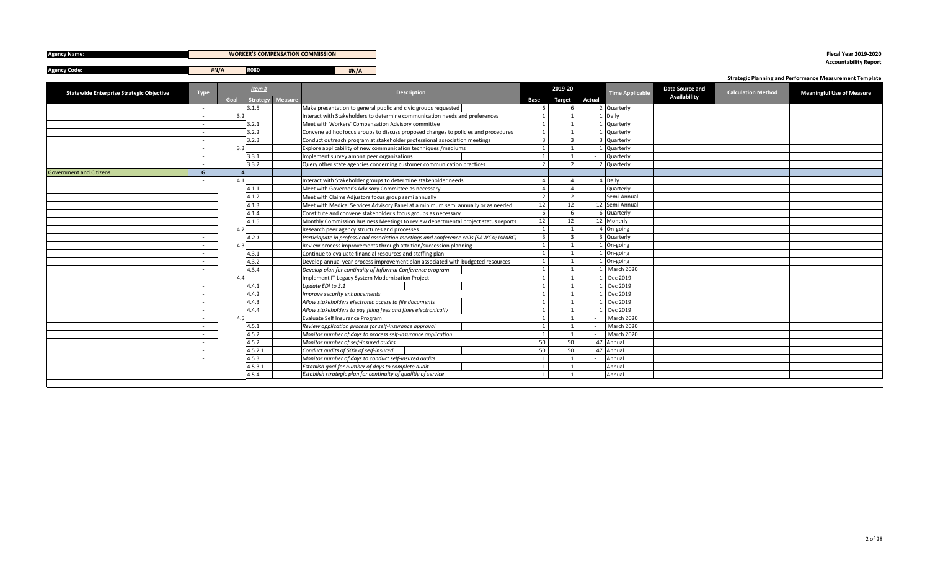|                                          |                 |      |                          |                |                                                                                        |             |  |                         |                          |        |                 |                                 |                           | <b>Accountability Report</b>                                   |
|------------------------------------------|-----------------|------|--------------------------|----------------|----------------------------------------------------------------------------------------|-------------|--|-------------------------|--------------------------|--------|-----------------|---------------------------------|---------------------------|----------------------------------------------------------------|
| <b>Agency Code:</b>                      |                 | #N/A | <b>R080</b>              |                | #N/A                                                                                   |             |  |                         |                          |        |                 |                                 |                           |                                                                |
|                                          |                 |      |                          |                |                                                                                        |             |  |                         |                          |        |                 |                                 |                           | <b>Strategic Planning and Performance Measurement Template</b> |
| Statewide Enterprise Strategic Objective | Type            | Goal | Item#<br><b>Strategy</b> | <b>Measure</b> |                                                                                        | Description |  | Base                    | 2019-20<br><b>Target</b> | Actual | Time Applicable | Data Source and<br>Availability | <b>Calculation Method</b> | <b>Meaningful Use of Measure</b>                               |
|                                          | $\sim$          |      | 3.1.5                    |                | Make presentation to general public and civic groups requested                         |             |  | 6                       |                          |        | 2 Quarterly     |                                 |                           |                                                                |
|                                          | $\sim$          | 3.2  |                          |                | Interact with Stakeholders to determine communication needs and preferences            |             |  | 1                       |                          |        | 1 Daily         |                                 |                           |                                                                |
|                                          | $\sim$          |      | 3.2.1                    |                | Meet with Workers' Compensation Advisory committee                                     |             |  | $\overline{1}$          |                          |        | 1 Quarterly     |                                 |                           |                                                                |
|                                          | $\sim$          |      | 3.2.2                    |                | Convene ad hoc focus groups to discuss proposed changes to policies and procedures     |             |  | $\overline{1}$          |                          |        | 1 Quarterly     |                                 |                           |                                                                |
|                                          |                 |      | 3.2.3                    |                | Conduct outreach program at stakeholder professional association meetings              |             |  | $\overline{3}$          |                          |        | 3 Quarterly     |                                 |                           |                                                                |
|                                          |                 | 3.3  |                          |                | Explore applicability of new communication techniques /mediums                         |             |  | $\overline{1}$          |                          |        | 1 Quarterly     |                                 |                           |                                                                |
|                                          | $\sim$          |      | 3.3.1                    |                | Implement survey among peer organizations                                              |             |  | $\overline{1}$          |                          |        | Quarterly       |                                 |                           |                                                                |
|                                          | $\sim$          |      | 3.3.2                    |                | Query other state agencies concerning customer communication practices                 |             |  | $\overline{2}$          |                          |        | 2 Quarterly     |                                 |                           |                                                                |
| <b>Government and Citizens</b>           | G.              |      |                          |                |                                                                                        |             |  |                         |                          |        |                 |                                 |                           |                                                                |
|                                          | $\sim$          | 4.1  |                          |                | Interact with Stakeholder groups to determine stakeholder needs                        |             |  | $\Delta$                |                          |        | 4 Daily         |                                 |                           |                                                                |
|                                          |                 |      | 4.1.1                    |                | Meet with Governor's Advisory Committee as necessary                                   |             |  | $\overline{a}$          |                          |        | Quarterly       |                                 |                           |                                                                |
|                                          |                 |      | 4.1.2                    |                | Meet with Claims Adjustors focus group semi annually                                   |             |  | $\overline{2}$          |                          |        | Semi-Annual     |                                 |                           |                                                                |
|                                          |                 |      | 4.1.3                    |                | Meet with Medical Services Advisory Panel at a minimum semi annually or as needed      |             |  | 12                      | 12                       |        | 12 Semi-Annual  |                                 |                           |                                                                |
|                                          |                 |      | 4.1.4                    |                | Constitute and convene stakeholder's focus groups as necessary                         |             |  | 6                       |                          |        | 6 Quarterly     |                                 |                           |                                                                |
|                                          |                 |      | 4.1.5                    |                | Monthly Commission Business Meetings to review departmental project status reports     |             |  | 12                      | 12                       |        | 12 Monthly      |                                 |                           |                                                                |
|                                          |                 | 4.2  |                          |                | Research peer agency structures and processes                                          |             |  | $\overline{1}$          |                          |        | 4 On-going      |                                 |                           |                                                                |
|                                          |                 |      | 4.2.1                    |                | Particiapate in professional association meetings and conference calls (SAWCA; IAIABC) |             |  | $\overline{\mathbf{3}}$ |                          |        | 3 Quarterly     |                                 |                           |                                                                |
|                                          | $\sim$          | 4.3  |                          |                | Review process improvements through attrition/succession planning                      |             |  | $\overline{1}$          |                          |        | 1 On-going      |                                 |                           |                                                                |
|                                          |                 |      | 4.3.1                    |                | Continue to evaluate financial resources and staffing plan                             |             |  | $\overline{1}$          |                          |        | 1 On-going      |                                 |                           |                                                                |
|                                          |                 |      | 4.3.2                    |                | Develop annual year process improvement plan associated with budgeted resources        |             |  | 1                       |                          |        | 1 On-going      |                                 |                           |                                                                |
|                                          | $\sim$ 10 $\pm$ |      | 4.3.4                    |                | Develop plan for continuity of Informal Conference program                             |             |  | $\overline{1}$          |                          |        | March 2020      |                                 |                           |                                                                |
|                                          | $\sim$          | 4.4  |                          |                | Implement IT Legacy System Modernization Project                                       |             |  | $\overline{1}$          |                          |        | 1 Dec 2019      |                                 |                           |                                                                |
|                                          |                 |      | 4.4.1                    |                | Update EDI to 3.1                                                                      |             |  | $\overline{1}$          |                          |        | Dec 2019        |                                 |                           |                                                                |
|                                          |                 |      | 4.4.2                    |                | Improve security enhancements                                                          |             |  | $\overline{1}$          |                          |        | 1 Dec 2019      |                                 |                           |                                                                |
|                                          |                 |      | 4.4.3                    |                | Allow stakeholders electronic access to file documents                                 |             |  | $\overline{1}$          |                          |        | 1 Dec 2019      |                                 |                           |                                                                |
|                                          |                 |      | 4.4.4                    |                | Allow stakeholders to pay filing fees and fines electronically                         |             |  | $\overline{1}$          |                          |        | Dec 2019        |                                 |                           |                                                                |
|                                          | $\sim$ 10 $\pm$ | 4.5  |                          |                | Evaluate Self Insurance Program                                                        |             |  | 1                       |                          |        | March 2020      |                                 |                           |                                                                |
|                                          | $\sim$          |      | 4.5.1                    |                | Review application process for self-insurance approval                                 |             |  | 1                       |                          |        | March 2020      |                                 |                           |                                                                |
|                                          | $\sim$          |      | 4.5.2                    |                | Monitor number of days to process self-insurance application                           |             |  | 1                       |                          |        | March 2020      |                                 |                           |                                                                |
|                                          |                 |      | 4.5.2                    |                | Monitor number of self-insured audits                                                  |             |  | 50                      | 50                       |        | 47 Annual       |                                 |                           |                                                                |
|                                          |                 |      | 4.5.2.1                  |                | Conduct audits of 50% of self-insured                                                  |             |  | 50                      | 50                       |        | 47 Annual       |                                 |                           |                                                                |
|                                          | $\sim$ 10 $\pm$ |      | 4.5.3                    |                | Monitor number of days to conduct self-insured audits                                  |             |  | $\overline{1}$          |                          |        | Annual          |                                 |                           |                                                                |
|                                          | $\sim$          |      | 4.5.3.1                  |                | Establish goal for number of days to complete audit                                    |             |  | 1                       |                          |        | Annual          |                                 |                           |                                                                |
|                                          |                 |      | 4.5.4                    |                | Establish strategic plan for continuity of quailtiy of service                         |             |  | $\overline{1}$          |                          |        | Annual          |                                 |                           |                                                                |
|                                          |                 |      |                          |                |                                                                                        |             |  |                         |                          |        |                 |                                 |                           |                                                                |

**Agency Name:**

**WORKER'S COMPENSATION COMMISSION**

**Fiscal Year 2019-2020**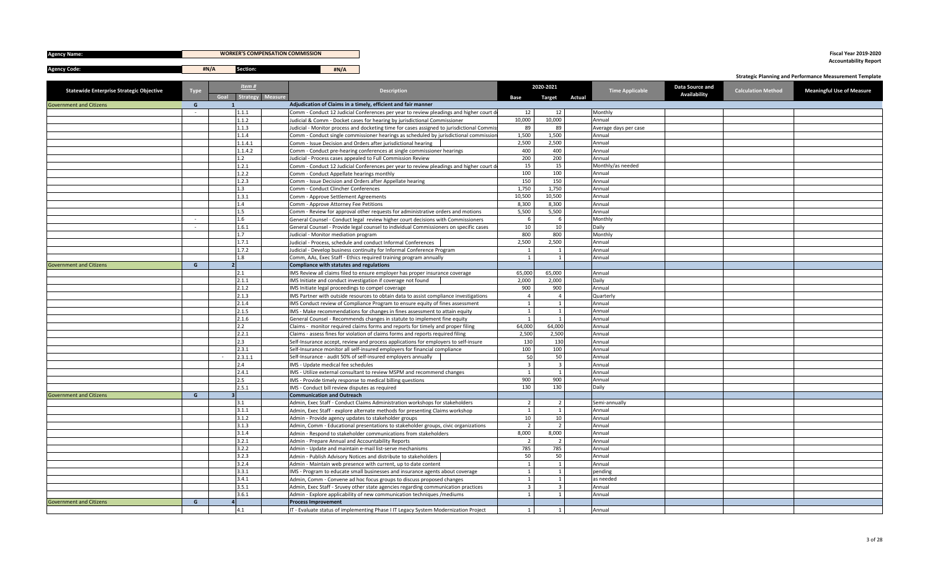| <b>Agency Name:</b> |       | <b>WORKER'S COMPENSATION COMMISSION</b> |      |
|---------------------|-------|-----------------------------------------|------|
|                     |       |                                         |      |
| <b>Agency Code:</b> | H N/A | Section:                                | #N/A |

### **Accountability Report**

**Strategic Planning and Performance Measurement Template**

|                                                 |             |              |         |                  |                                                                                                       |                          |                 |        |                        |                     |                           | otrategic riammig and renommance ineasurement remplate |
|-------------------------------------------------|-------------|--------------|---------|------------------|-------------------------------------------------------------------------------------------------------|--------------------------|-----------------|--------|------------------------|---------------------|---------------------------|--------------------------------------------------------|
| <b>Statewide Enterprise Strategic Objective</b> | <b>Type</b> |              | Item#   |                  | <b>Description</b>                                                                                    |                          | 2020-2021       |        | <b>Time Applicable</b> | Data Source and     | <b>Calculation Method</b> | <b>Meaningful Use of Measure</b>                       |
|                                                 |             | Goal         |         | Strategy Measure |                                                                                                       | Base                     | <b>Target</b>   | Actual |                        | <b>Availability</b> |                           |                                                        |
| <b>Government and Citizens</b>                  | G           | $\mathbf{1}$ |         |                  | Adjudication of Claims in a timely, efficient and fair manner                                         |                          |                 |        |                        |                     |                           |                                                        |
|                                                 | $\sim$      |              | 1.1.1   |                  | Comm - Conduct 12 Judicial Conferences per year to review pleadings and higher court de               | 12                       | 12              |        | Monthly                |                     |                           |                                                        |
|                                                 |             |              | 1.1.2   |                  | udicial & Comm - Docket cases for hearing by jurisdictional Commissioner                              | 10,000                   | 10,000          |        | Annual                 |                     |                           |                                                        |
|                                                 |             |              | 1.1.3   |                  | udicial - Monitor process and docketing time for cases assigned to jurisdictional Commis:             | 89                       | 89              |        | Average days per case  |                     |                           |                                                        |
|                                                 |             |              | 1.1.4   |                  | Comm - Conduct single commissioner hearings as scheduled by jurisdictional commission                 | 1,500                    | 1.500           |        | Annual                 |                     |                           |                                                        |
|                                                 |             |              | 1.1.4.1 |                  | Comm - Issue Decision and Orders after jurisdictional hearing                                         | 2,500                    | 2,500           |        | Annual                 |                     |                           |                                                        |
|                                                 |             |              | 1.1.4.2 |                  | Comm - Conduct pre-hearing conferences at single commissioner hearings                                | 400                      | 400             |        | Annual                 |                     |                           |                                                        |
|                                                 |             |              | 1.2     |                  | Judicial - Process cases appealed to Full Commission Review                                           | 200                      | 200             |        | Annual                 |                     |                           |                                                        |
|                                                 |             |              | 1.2.1   |                  | Comm - Conduct 12 Judicial Conferences per year to review pleadings and higher court d                | 15                       | 15              |        | Monthly/as needed      |                     |                           |                                                        |
|                                                 |             |              | 1.2.2   |                  | Comm - Conduct Appellate hearings monthly                                                             | 100                      | 100             |        | Annual                 |                     |                           |                                                        |
|                                                 |             |              | 1.2.3   |                  | Comm - Issue Decision and Orders after Appellate hearing                                              | 150                      | 150             |        | Annual                 |                     |                           |                                                        |
|                                                 |             |              | 1.3     |                  | Comm - Conduct Clincher Conferences                                                                   | 1,750                    | 1,750           |        | Annual                 |                     |                           |                                                        |
|                                                 |             |              | 1.3.1   |                  | Comm - Approve Settlement Agreements                                                                  | 10,500                   | 10,500          |        | Annual                 |                     |                           |                                                        |
|                                                 |             |              | 1.4     |                  | Comm - Approve Attorney Fee Petitions                                                                 | 8,300                    | 8,300           |        | Annual                 |                     |                           |                                                        |
|                                                 |             |              | 1.5     |                  | Comm - Review for approval other requests for administrative orders and motions                       | 5,500                    | 5,500           |        | Annual                 |                     |                           |                                                        |
|                                                 |             |              | 1.6     |                  | General Counsel - Conduct legal review higher court decisions with Commissioners                      | 6                        | 6               |        | Monthly                |                     |                           |                                                        |
|                                                 | $\sim$      |              | 1.6.1   |                  | General Counsel - Provide legal counsel to individual Commissioners on specific cases                 | 10                       | 10              |        | Daily                  |                     |                           |                                                        |
|                                                 |             |              | 1.7     |                  | Judicial - Monitor mediation program                                                                  | 800                      | 800             |        | Monthly                |                     |                           |                                                        |
|                                                 |             |              | 1.7.1   |                  | Judicial - Process, schedule and conduct Informal Conferences                                         | 2,500                    | 2,500           |        | Annual                 |                     |                           |                                                        |
|                                                 |             |              | 1.7.2   |                  | Judicial - Develop business continuity for Informal Conference Program                                | $\overline{1}$           | 1               |        | Annual                 |                     |                           |                                                        |
|                                                 |             |              | 1.8     |                  | Comm, AAs, Exec Staff - Ethics required training program annually                                     |                          | $\mathbf{1}$    |        | Annual                 |                     |                           |                                                        |
| <b>Government and Citizens</b>                  | G           |              |         |                  | Compliance with statutes and regulations                                                              |                          |                 |        |                        |                     |                           |                                                        |
|                                                 |             |              | 2.1     |                  | IMS Review all claims filed to ensure employer has proper insurance coverage                          | 65,000                   | 65,000          |        | Annual                 |                     |                           |                                                        |
|                                                 |             |              | 2.1.1   |                  | IMS Initiate and conduct investigation if coverage not found                                          | 2,000                    | 2,000           |        | Daily                  |                     |                           |                                                        |
|                                                 |             |              | 2.1.2   |                  | IMS Initiate legal proceedings to compel coverage                                                     | 900                      | 900             |        | Annual                 |                     |                           |                                                        |
|                                                 |             |              | 2.1.3   |                  | IMS Partner with outside resources to obtain data to assist compliance investigations                 | $\overline{4}$           | $\overline{4}$  |        | Quarterly              |                     |                           |                                                        |
|                                                 |             |              | 2.1.4   |                  | IMS Conduct review of Compliance Program to ensure equity of fines assessment                         | $\mathbf{1}$             | $\mathbf{1}$    |        | Annual                 |                     |                           |                                                        |
|                                                 |             |              | 2.1.5   |                  | IMS - Make recommendations for changes in fines assessment to attain equity                           | $\overline{1}$           | 1               |        | Annual                 |                     |                           |                                                        |
|                                                 |             |              | 2.1.6   |                  | General Counsel - Recommends changes in statute to implement fine equity                              | $\overline{1}$           | 1               |        | Annual                 |                     |                           |                                                        |
|                                                 |             |              | 2.2     |                  | Claims - monitor required claims forms and reports for timely and proper filing                       | 64,000                   | 64.000          |        | Annual                 |                     |                           |                                                        |
|                                                 |             |              | 2.2.1   |                  | Claims - assess fines for violation of claims forms and reports required filing                       | 2,500                    | 2,500           |        | Annual                 |                     |                           |                                                        |
|                                                 |             |              | 2.3     |                  | Self-Insurance accept, review and process applications for employers to self-insure                   | 130                      | 130             |        | Annual                 |                     |                           |                                                        |
|                                                 |             |              | 2.3.1   |                  | Self-Insurance monitor all self-insured employers for financial compliance                            | 100                      | 100             |        | Annual                 |                     |                           |                                                        |
|                                                 |             |              | 2.3.1.1 |                  | Self-Insurance - audit 50% of self-insured employers annually                                         | 50                       | 50              |        | Annual                 |                     |                           |                                                        |
|                                                 |             |              | 2.4     |                  | IMS - Update medical fee schedules                                                                    | $\overline{\mathbf{z}}$  | $\overline{3}$  |        | Annual                 |                     |                           |                                                        |
|                                                 |             |              | 2.4.1   |                  | IMS - Utilize external consultant to review MSPM and recommend changes                                | -1                       | 1               |        | Annual                 |                     |                           |                                                        |
|                                                 |             |              | 2.5     |                  | IMS - Provide timely response to medical billing questions                                            | 900                      | 900             |        | Annual                 |                     |                           |                                                        |
|                                                 |             |              | 2.5.1   |                  | IMS - Conduct bill review disputes as required                                                        | 130                      | 130             |        | Daily                  |                     |                           |                                                        |
| <b>Government and Citizens</b>                  | G           |              |         |                  | <b>Communication and Outreach</b>                                                                     |                          |                 |        |                        |                     |                           |                                                        |
|                                                 |             |              | 3.1     |                  | Admin, Exec Staff - Conduct Claims Administration workshops for stakeholders                          |                          | $\overline{2}$  |        | Semi-annually          |                     |                           |                                                        |
|                                                 |             |              | 3.1.1   |                  | Admin, Exec Staff - explore alternate methods for presenting Claims workshop                          | 1                        | 1               |        | Annual                 |                     |                           |                                                        |
|                                                 |             |              | 3.1.2   |                  | Admin - Provide agency updates to stakeholder groups                                                  | 10                       | 10 <sup>1</sup> |        | Annual                 |                     |                           |                                                        |
|                                                 |             |              | 3.1.3   |                  | Admin, Comm - Educational presentations to stakeholder groups, civic organizations                    | $\overline{2}$           | 2               |        | Annual                 |                     |                           |                                                        |
|                                                 |             |              | 3.1.4   |                  | Admin - Respond to stakeholder communications from stakeholders                                       | 8.000                    | 8.000           |        | Annual                 |                     |                           |                                                        |
|                                                 |             |              | 3.2.1   |                  |                                                                                                       | $\overline{\phantom{a}}$ | $\overline{2}$  |        | Annual                 |                     |                           |                                                        |
|                                                 |             |              | 3.2.2   |                  | Admin - Prepare Annual and Accountability Reports                                                     | 785                      | 785             |        | Annual                 |                     |                           |                                                        |
|                                                 |             |              | 3.2.3   |                  | Admin - Update and maintain e-mail list-serve mechanisms                                              | 50                       | 50              |        | Annual                 |                     |                           |                                                        |
|                                                 |             |              | 3.2.4   |                  | Admin - Publish Advisory Notices and distribute to stakeholders                                       |                          | $\mathbf{1}$    |        | Annual                 |                     |                           |                                                        |
|                                                 |             |              | 3.3.1   |                  | Admin - Maintain web presence with current, up to date content                                        | $\overline{1}$           | 1               |        | pending                |                     |                           |                                                        |
|                                                 |             |              | 3.4.1   |                  | IMS - Program to educate small businesses and insurance agents about coverage                         | 1                        | 1               |        | as needed              |                     |                           |                                                        |
|                                                 |             |              | 3.5.1   |                  | Admin, Comm - Convene ad hoc focus groups to discuss proposed changes                                 | $\overline{3}$           | $\overline{3}$  |        | Annual                 |                     |                           |                                                        |
|                                                 |             |              | 3.6.1   |                  | Admin, Exec Staff - Sruvey other state agencies regarding communication practices                     | 1                        | 1               |        | Annual                 |                     |                           |                                                        |
|                                                 | G           |              |         |                  | Admin - Explore applicability of new communication techniques / mediums<br><b>Process Improvement</b> |                          |                 |        |                        |                     |                           |                                                        |
| <b>Government and Citizens</b>                  |             |              |         |                  |                                                                                                       |                          |                 |        |                        |                     |                           |                                                        |
|                                                 |             |              | 4.1     |                  | IT - Evaluate status of implementing Phase I IT Legacy System Modernization Project                   | $\overline{1}$           | 1               |        | Annual                 |                     |                           |                                                        |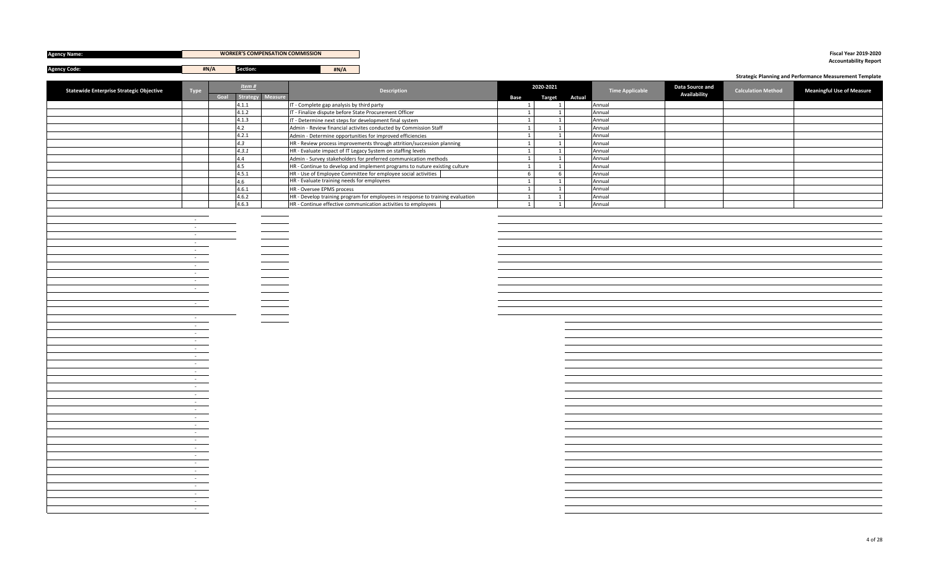| <b>Agency Name:</b> |       | <b>WORKER'S COMPENSATION COMMISSION</b> |      |
|---------------------|-------|-----------------------------------------|------|
|                     |       |                                         |      |
| <b>Agency Code:</b> | H N/A | Section:                                | #N/A |

### **Accountability Report**

**Strategic Planning and Performance Measurement Template**

|                                                 |                  |      |          |                         |                                                                                |                |               |                        |                     |                           | Strategic Planning and Performance Measurement Template |
|-------------------------------------------------|------------------|------|----------|-------------------------|--------------------------------------------------------------------------------|----------------|---------------|------------------------|---------------------|---------------------------|---------------------------------------------------------|
|                                                 |                  |      | Item $#$ |                         |                                                                                |                | 2020-2021     |                        | Data Source and     |                           |                                                         |
| <b>Statewide Enterprise Strategic Objective</b> | Type             |      |          |                         | Description                                                                    |                |               | <b>Time Applicable</b> | <b>Availability</b> | <b>Calculation Method</b> | <b>Meaningful Use of Measure</b>                        |
|                                                 |                  | Goal |          | <b>Strategy Measure</b> |                                                                                | <b>Base</b>    | Target Actual |                        |                     |                           |                                                         |
|                                                 |                  |      | 4.1.1    |                         | IT - Complete gap analysis by third party                                      | 1              | 1             | Annual                 |                     |                           |                                                         |
|                                                 |                  |      | 4.1.2    |                         | IT - Finalize dispute before State Procurement Officer                         | $\vert$ 1      | $1\vert$      | Annual                 |                     |                           |                                                         |
|                                                 |                  |      | 4.1.3    |                         | IT - Determine next steps for development final system                         | 1              | <sup>1</sup>  | Annual                 |                     |                           |                                                         |
|                                                 |                  |      | 4.2      |                         | Admin - Review financial activites conducted by Commission Staff               | 1              | 1             | Annual                 |                     |                           |                                                         |
|                                                 |                  |      | 4.2.1    |                         | Admin - Determine opportunities for improved efficiencies                      | $\mathbf{1}$   | $\mathbf{1}$  | Annual                 |                     |                           |                                                         |
|                                                 |                  |      | 4.3      |                         | HR - Review process improvements through attrition/succession planning         | $\mathbf{1}$   | 1             | Annual                 |                     |                           |                                                         |
|                                                 |                  |      | 4.3.1    |                         | HR - Evaluate impact of IT Legacy System on staffing levels                    | $\mathbf{1}$   | $\mathbf{1}$  | Annual                 |                     |                           |                                                         |
|                                                 |                  |      | 4.4      |                         | Admin - Survey stakeholders for preferred communication methods                | $\overline{1}$ | $1\vert$      | Annual                 |                     |                           |                                                         |
|                                                 |                  |      | 4.5      |                         | HR - Continue to develop and implement programs to nuture existing culture     | $\mathbf{1}$   | 1             | Annual                 |                     |                           |                                                         |
|                                                 |                  |      | 4.5.1    |                         | HR - Use of Employee Committee for employee social activities                  | 6              | 6             | Annual                 |                     |                           |                                                         |
|                                                 |                  |      | 4.6      |                         | HR - Evaluate training needs for employees                                     | $\mathbf{1}$   | 1             | Annual                 |                     |                           |                                                         |
|                                                 |                  |      | 4.6.1    |                         | HR - Oversee EPMS process                                                      | $\mathbf{1}$   | $\mathbf{1}$  | Annual                 |                     |                           |                                                         |
|                                                 |                  |      | 4.6.2    |                         | HR - Develop training program for employees in response to training evaluation | $\overline{1}$ | 1             | Annual                 |                     |                           |                                                         |
|                                                 |                  |      | 4.6.3    |                         | HR - Continue effective communication activities to employees                  | $\mathbf{1}$   | $\mathbf{1}$  | Annual                 |                     |                           |                                                         |
|                                                 |                  |      |          |                         |                                                                                |                |               |                        |                     |                           |                                                         |
|                                                 |                  |      |          |                         |                                                                                |                |               |                        |                     |                           |                                                         |
|                                                 | $\sim$           |      |          |                         |                                                                                |                |               |                        |                     |                           |                                                         |
|                                                 | $\sim$           |      |          |                         |                                                                                |                |               |                        |                     |                           |                                                         |
|                                                 | $\sim$           |      |          |                         |                                                                                |                |               |                        |                     |                           |                                                         |
|                                                 | $\sim$ $-$       |      |          |                         |                                                                                |                |               |                        |                     |                           |                                                         |
|                                                 | $\sim$           |      |          |                         |                                                                                |                |               |                        |                     |                           |                                                         |
|                                                 | $\sim$           |      |          |                         |                                                                                |                |               |                        |                     |                           |                                                         |
|                                                 | $\sim$ 100 $\mu$ |      |          |                         |                                                                                |                |               |                        |                     |                           |                                                         |
|                                                 | <b>Service</b>   |      |          |                         |                                                                                |                |               |                        |                     |                           |                                                         |
|                                                 | $\sim$           |      |          |                         |                                                                                |                |               |                        |                     |                           |                                                         |
|                                                 | $\sim 10^{-1}$   |      |          |                         |                                                                                |                |               |                        |                     |                           |                                                         |
|                                                 |                  |      |          |                         |                                                                                |                |               |                        |                     |                           |                                                         |
|                                                 | $\sim$           |      |          |                         |                                                                                |                |               |                        |                     |                           |                                                         |
|                                                 |                  |      |          |                         |                                                                                |                |               |                        |                     |                           |                                                         |
|                                                 | $\sim$ $-$       |      |          |                         |                                                                                |                |               |                        |                     |                           |                                                         |
|                                                 | $\sim 10^{-11}$  |      |          |                         |                                                                                |                |               |                        |                     |                           |                                                         |
|                                                 | $\sim$           |      |          |                         |                                                                                |                |               |                        |                     |                           |                                                         |
|                                                 | $\sim$           |      |          |                         |                                                                                |                |               |                        |                     |                           |                                                         |
|                                                 | $\sim$           |      |          |                         |                                                                                |                |               |                        |                     |                           |                                                         |
|                                                 | $\sim$           |      |          |                         |                                                                                |                |               |                        |                     |                           |                                                         |
|                                                 | $\sim$           |      |          |                         |                                                                                |                |               |                        |                     |                           |                                                         |
|                                                 |                  |      |          |                         |                                                                                |                |               |                        |                     |                           |                                                         |
|                                                 | $\sim$           |      |          |                         |                                                                                |                |               |                        |                     |                           |                                                         |
|                                                 | $\sim$           |      |          |                         |                                                                                |                |               |                        |                     |                           |                                                         |
|                                                 | $\sim$           |      |          |                         |                                                                                |                |               |                        |                     |                           |                                                         |
|                                                 | $\sim$ $-$       |      |          |                         |                                                                                |                |               |                        |                     |                           |                                                         |
|                                                 | $\sim$           |      |          |                         |                                                                                |                |               |                        |                     |                           |                                                         |
|                                                 | $\sim$           |      |          |                         |                                                                                |                |               |                        |                     |                           |                                                         |
|                                                 | $\sim$ $-$       |      |          |                         |                                                                                |                |               |                        |                     |                           |                                                         |
|                                                 | $\sim$           |      |          |                         |                                                                                |                |               |                        |                     |                           |                                                         |
|                                                 | $\sim$           |      |          |                         |                                                                                |                |               |                        |                     |                           |                                                         |
|                                                 | $\sim$           |      |          |                         |                                                                                |                |               |                        |                     |                           |                                                         |
|                                                 | $\sim 10^{-11}$  |      |          |                         |                                                                                |                |               |                        |                     |                           |                                                         |
|                                                 | $\sim$           |      |          |                         |                                                                                |                |               |                        |                     |                           |                                                         |
|                                                 | $\sim$           |      |          |                         |                                                                                |                |               |                        |                     |                           |                                                         |
|                                                 | $\sim$           |      |          |                         |                                                                                |                |               |                        |                     |                           |                                                         |
|                                                 | $\sim$           |      |          |                         |                                                                                |                |               |                        |                     |                           |                                                         |
|                                                 | $\sim$           |      |          |                         |                                                                                |                |               |                        |                     |                           |                                                         |
|                                                 | $\sim$           |      |          |                         |                                                                                |                |               |                        |                     |                           |                                                         |
|                                                 | $\sim$           |      |          |                         |                                                                                |                |               |                        |                     |                           |                                                         |
|                                                 | $\sim$           |      |          |                         |                                                                                |                |               |                        |                     |                           |                                                         |
|                                                 |                  |      |          |                         |                                                                                |                |               |                        |                     |                           |                                                         |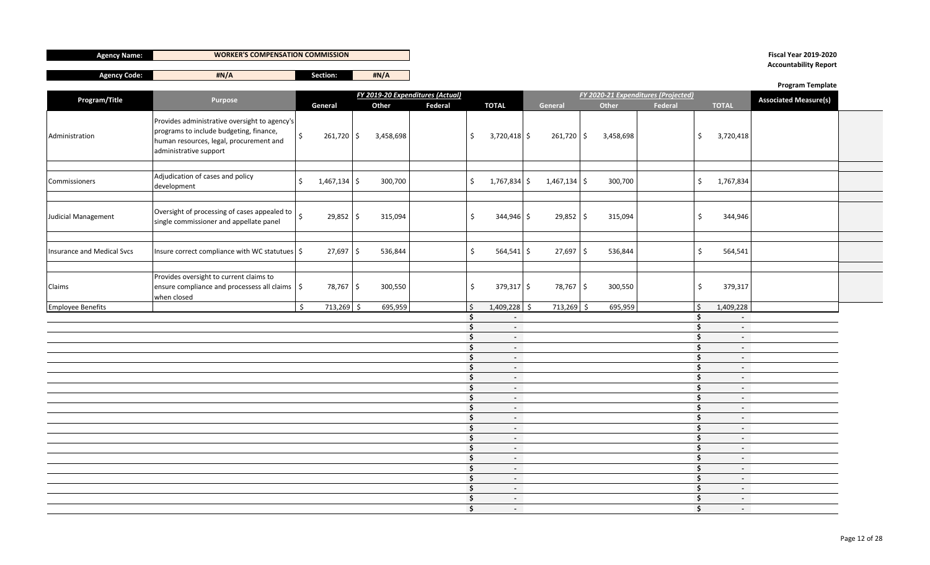| <b>Agency Code:</b>               | #N/A                                                                                                                                                          | Section:                       | #N/A      |                                  |          |                          |                |               |                                     |                     |                  | <b>Accountability Report</b> |  |
|-----------------------------------|---------------------------------------------------------------------------------------------------------------------------------------------------------------|--------------------------------|-----------|----------------------------------|----------|--------------------------|----------------|---------------|-------------------------------------|---------------------|------------------|------------------------------|--|
|                                   |                                                                                                                                                               |                                |           | FY 2019-20 Expenditures (Actual) |          |                          |                |               | FY 2020-21 Expenditures (Projected) |                     |                  | <b>Program Template</b>      |  |
| Program/Title                     | Purpose                                                                                                                                                       | General                        | Other     | Federal                          |          | <b>TOTAL</b>             | General        | Other         | Federal                             |                     | <b>TOTAL</b>     | <b>Associated Measure(s)</b> |  |
| Administration                    | Provides administrative oversight to agency's<br>programs to include budgeting, finance,<br>human resources, legal, procurement and<br>administrative support | \$<br>261,720 \$               | 3,458,698 |                                  | \$       | $3,720,418$ \$           | 261,720 \$     | 3,458,698     |                                     | \$                  | 3,720,418        |                              |  |
|                                   |                                                                                                                                                               |                                |           |                                  |          |                          |                |               |                                     |                     |                  |                              |  |
| Commissioners                     | Adjudication of cases and policy<br>development                                                                                                               | $\mathsf{S}$<br>$1,467,134$ \$ | 300,700   |                                  | \$       | 1,767,834 \$             | $1,467,134$ \$ | 300,700       |                                     | \$                  | 1,767,834        |                              |  |
| Judicial Management               | Oversight of processing of cases appealed to<br>single commissioner and appellate panel                                                                       | \$<br>$29,852$ \$              | 315,094   |                                  | \$       | 344,946 \$               | 29,852         | \$<br>315,094 |                                     | \$                  | 344,946          |                              |  |
| <b>Insurance and Medical Svcs</b> | Insure correct compliance with WC statutues   \$                                                                                                              | $27,697$ \$                    | 536,844   |                                  | \$       | $564,541$ \$             | 27,697         | \$<br>536,844 |                                     | \$                  | 564,541          |                              |  |
| Claims                            | Provides oversight to current claims to<br>ensure compliance and processess all claims $\frac{1}{5}$<br>when closed                                           | 78,767 \$                      | 300,550   |                                  | \$       | $379,317$ \$             | 78,767 \$      | 300,550       |                                     | \$                  | 379,317          |                              |  |
| <b>Employee Benefits</b>          |                                                                                                                                                               | 713,269 \$<br>Ŝ.               | 695,959   |                                  | \$       | $1,409,228$ \$           | 713,269 \$     | 695,959       |                                     | $\frac{1}{2}$       | 1,409,228        |                              |  |
|                                   |                                                                                                                                                               |                                |           |                                  | \$       | $\overline{\phantom{a}}$ |                |               |                                     | \$                  | $\sim$           |                              |  |
|                                   |                                                                                                                                                               |                                |           |                                  | Ś.<br>\$ | $\sim$<br>$\sim$         |                |               |                                     | $\mathsf{S}$<br>\$  | $\sim$           |                              |  |
|                                   |                                                                                                                                                               |                                |           |                                  | Ś.       | $\sim$                   |                |               |                                     | \$                  | $\sim$<br>$\sim$ |                              |  |
|                                   |                                                                                                                                                               |                                |           |                                  | \$       | $\sim$                   |                |               |                                     | \$                  | $\sim$           |                              |  |
|                                   |                                                                                                                                                               |                                |           |                                  | \$       | $\sim$                   |                |               |                                     | \$                  | $\sim$           |                              |  |
|                                   |                                                                                                                                                               |                                |           |                                  | \$       | $\sim$                   |                |               |                                     | \$                  | $\sim$           |                              |  |
|                                   |                                                                                                                                                               |                                |           |                                  | \$       | $\sim$                   |                |               |                                     | \$                  | $\sim$           |                              |  |
|                                   |                                                                                                                                                               |                                |           |                                  | \$       | $\sim$                   |                |               |                                     | S.                  | $\sim$           |                              |  |
|                                   |                                                                                                                                                               |                                |           |                                  | Ś.<br>\$ | $\sim$                   |                |               |                                     | \$                  | $\sim$           |                              |  |
|                                   |                                                                                                                                                               |                                |           |                                  | \$       | $\sim$ $-$<br>$\sim$     |                |               |                                     | \$<br>\$            | $\sim$<br>$\sim$ |                              |  |
|                                   |                                                                                                                                                               |                                |           |                                  | Ś.       | $\blacksquare$           |                |               |                                     | \$                  | $\sim$           |                              |  |
|                                   |                                                                                                                                                               |                                |           |                                  | \$       | $\sim$                   |                |               |                                     | \$                  | $\sim$           |                              |  |
|                                   |                                                                                                                                                               |                                |           |                                  | \$       | $\sim$                   |                |               |                                     | \$                  | $\sim$           |                              |  |
|                                   |                                                                                                                                                               |                                |           |                                  | \$       | $\sim$                   |                |               |                                     | \$                  | $\sim$           |                              |  |
|                                   |                                                                                                                                                               |                                |           |                                  | \$       | $\sim$                   |                |               |                                     | \$                  | $\sim$           |                              |  |
|                                   |                                                                                                                                                               |                                |           |                                  | \$       | $\sim$                   |                |               |                                     | $\ddot{\bm{\zeta}}$ | $\sim$           |                              |  |
|                                   |                                                                                                                                                               |                                |           |                                  | \$       | $\blacksquare$           |                |               |                                     | \$                  | $\sim$           |                              |  |
|                                   |                                                                                                                                                               |                                |           |                                  | \$       | $\sim$                   |                |               |                                     | $\ddot{\bm{\zeta}}$ | $\sim$           |                              |  |

**Agency Name:** 

# **WORKER'S COMPENSATION COMMISSION Fiscal Year 2019-2020**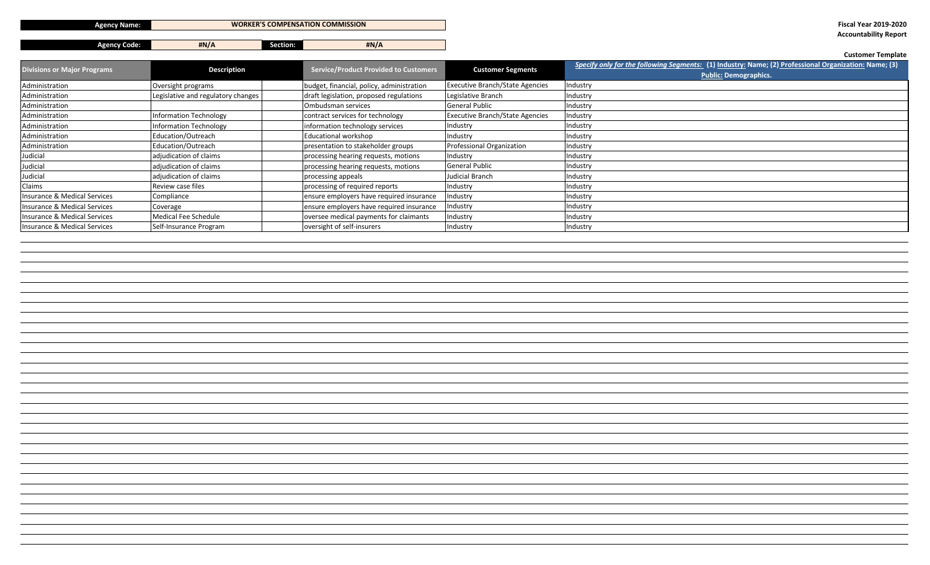| <b>Agency Name:</b>                |                                    | <b>WORKER'S COMPENSATION COMMISSION</b>      |                                        | <b>Fiscal Year 2019-2020</b><br><b>Accountability Report</b>                                                                                                      |
|------------------------------------|------------------------------------|----------------------------------------------|----------------------------------------|-------------------------------------------------------------------------------------------------------------------------------------------------------------------|
| <b>Agency Code:</b>                | Section:<br>#N/A                   | #N/A                                         |                                        |                                                                                                                                                                   |
| <b>Divisions or Major Programs</b> | <b>Description</b>                 | <b>Service/Product Provided to Customers</b> | <b>Customer Segments</b>               | <b>Customer Template</b><br>Specify only for the following Segments: (1) Industry: Name; (2) Professional Organization: Name; (3)<br><b>Public: Demographics.</b> |
| Administration                     | Oversight programs                 | budget, financial, policy, administration    | <b>Executive Branch/State Agencies</b> | Industry                                                                                                                                                          |
| Administration                     | Legislative and regulatory changes | draft legislation, proposed regulations      | Legislative Branch                     | Industry                                                                                                                                                          |
| Administration                     |                                    | Ombudsman services                           | <b>General Public</b>                  | Industry                                                                                                                                                          |
| Administration                     | <b>Information Technology</b>      | contract services for technology             | <b>Executive Branch/State Agencies</b> | Industry                                                                                                                                                          |
| Administration                     | <b>Information Technology</b>      | information technology services              | Industry                               | Industry                                                                                                                                                          |
| Administration                     | Education/Outreach                 | Educational workshop                         | Industry                               | Industry                                                                                                                                                          |
| Administration                     | Education/Outreach                 | presentation to stakeholder groups           | Professional Organization              | Industry                                                                                                                                                          |
| Judicial                           | adjudication of claims             | processing hearing requests, motions         | Industry                               | Industry                                                                                                                                                          |
| Judicial                           | adjudication of claims             | processing hearing requests, motions         | <b>General Public</b>                  | Industry                                                                                                                                                          |
| Judicial                           | adjudication of claims             | processing appeals                           | Judicial Branch                        | Industry                                                                                                                                                          |
| Claims                             | Review case files                  | processing of required reports               | Industry                               | Industry                                                                                                                                                          |
| Insurance & Medical Services       | Compliance                         | ensure employers have required insurance     | Industry                               | Industry                                                                                                                                                          |
| Insurance & Medical Services       | Coverage                           | ensure employers have required insurance     | Industry                               | Industry                                                                                                                                                          |
| Insurance & Medical Services       | Medical Fee Schedule               | oversee medical payments for claimants       | Industry                               | Industry                                                                                                                                                          |
| Insurance & Medical Services       | Self-Insurance Program             | oversight of self-insurers                   | Industry                               | Industry                                                                                                                                                          |
|                                    |                                    |                                              |                                        |                                                                                                                                                                   |
|                                    |                                    |                                              |                                        |                                                                                                                                                                   |
|                                    |                                    |                                              |                                        |                                                                                                                                                                   |
|                                    |                                    |                                              |                                        |                                                                                                                                                                   |
|                                    |                                    |                                              |                                        |                                                                                                                                                                   |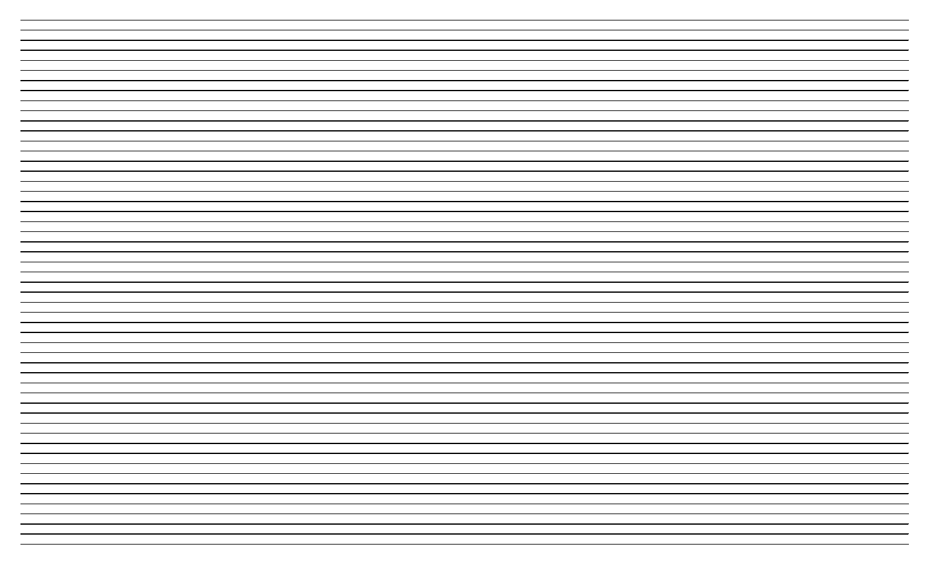| $\frac{1}{2} \left( \frac{1}{2} \right) \left( \frac{1}{2} \right) \left( \frac{1}{2} \right) \left( \frac{1}{2} \right) \left( \frac{1}{2} \right) \left( \frac{1}{2} \right) \left( \frac{1}{2} \right) \left( \frac{1}{2} \right) \left( \frac{1}{2} \right) \left( \frac{1}{2} \right) \left( \frac{1}{2} \right) \left( \frac{1}{2} \right) \left( \frac{1}{2} \right) \left( \frac{1}{2} \right) \left( \frac{1}{2} \right) \left( \frac{1}{2} \right) \left( \frac$ |                                                                                                                                                                                                                                                                                                                                                                                                                                                                            |
|----------------------------------------------------------------------------------------------------------------------------------------------------------------------------------------------------------------------------------------------------------------------------------------------------------------------------------------------------------------------------------------------------------------------------------------------------------------------------|----------------------------------------------------------------------------------------------------------------------------------------------------------------------------------------------------------------------------------------------------------------------------------------------------------------------------------------------------------------------------------------------------------------------------------------------------------------------------|
|                                                                                                                                                                                                                                                                                                                                                                                                                                                                            |                                                                                                                                                                                                                                                                                                                                                                                                                                                                            |
|                                                                                                                                                                                                                                                                                                                                                                                                                                                                            | $\sim$ $\sim$                                                                                                                                                                                                                                                                                                                                                                                                                                                              |
|                                                                                                                                                                                                                                                                                                                                                                                                                                                                            |                                                                                                                                                                                                                                                                                                                                                                                                                                                                            |
|                                                                                                                                                                                                                                                                                                                                                                                                                                                                            |                                                                                                                                                                                                                                                                                                                                                                                                                                                                            |
|                                                                                                                                                                                                                                                                                                                                                                                                                                                                            |                                                                                                                                                                                                                                                                                                                                                                                                                                                                            |
| $\frac{1}{2} \left( \frac{1}{2} \right) \left( \frac{1}{2} \right) \left( \frac{1}{2} \right) \left( \frac{1}{2} \right) \left( \frac{1}{2} \right) \left( \frac{1}{2} \right) \left( \frac{1}{2} \right) \left( \frac{1}{2} \right) \left( \frac{1}{2} \right) \left( \frac{1}{2} \right) \left( \frac{1}{2} \right) \left( \frac{1}{2} \right) \left( \frac{1}{2} \right) \left( \frac{1}{2} \right) \left( \frac{1}{2} \right) \left( \frac{1}{2} \right) \left( \frac$ |                                                                                                                                                                                                                                                                                                                                                                                                                                                                            |
|                                                                                                                                                                                                                                                                                                                                                                                                                                                                            |                                                                                                                                                                                                                                                                                                                                                                                                                                                                            |
|                                                                                                                                                                                                                                                                                                                                                                                                                                                                            |                                                                                                                                                                                                                                                                                                                                                                                                                                                                            |
|                                                                                                                                                                                                                                                                                                                                                                                                                                                                            |                                                                                                                                                                                                                                                                                                                                                                                                                                                                            |
|                                                                                                                                                                                                                                                                                                                                                                                                                                                                            |                                                                                                                                                                                                                                                                                                                                                                                                                                                                            |
|                                                                                                                                                                                                                                                                                                                                                                                                                                                                            |                                                                                                                                                                                                                                                                                                                                                                                                                                                                            |
|                                                                                                                                                                                                                                                                                                                                                                                                                                                                            | $\sim$                                                                                                                                                                                                                                                                                                                                                                                                                                                                     |
|                                                                                                                                                                                                                                                                                                                                                                                                                                                                            |                                                                                                                                                                                                                                                                                                                                                                                                                                                                            |
|                                                                                                                                                                                                                                                                                                                                                                                                                                                                            |                                                                                                                                                                                                                                                                                                                                                                                                                                                                            |
|                                                                                                                                                                                                                                                                                                                                                                                                                                                                            |                                                                                                                                                                                                                                                                                                                                                                                                                                                                            |
|                                                                                                                                                                                                                                                                                                                                                                                                                                                                            | $\frac{1}{2} \left( \frac{1}{2} \right) \left( \frac{1}{2} \right) \left( \frac{1}{2} \right) \left( \frac{1}{2} \right) \left( \frac{1}{2} \right) \left( \frac{1}{2} \right) \left( \frac{1}{2} \right) \left( \frac{1}{2} \right) \left( \frac{1}{2} \right) \left( \frac{1}{2} \right) \left( \frac{1}{2} \right) \left( \frac{1}{2} \right) \left( \frac{1}{2} \right) \left( \frac{1}{2} \right) \left( \frac{1}{2} \right) \left( \frac{1}{2} \right) \left( \frac$ |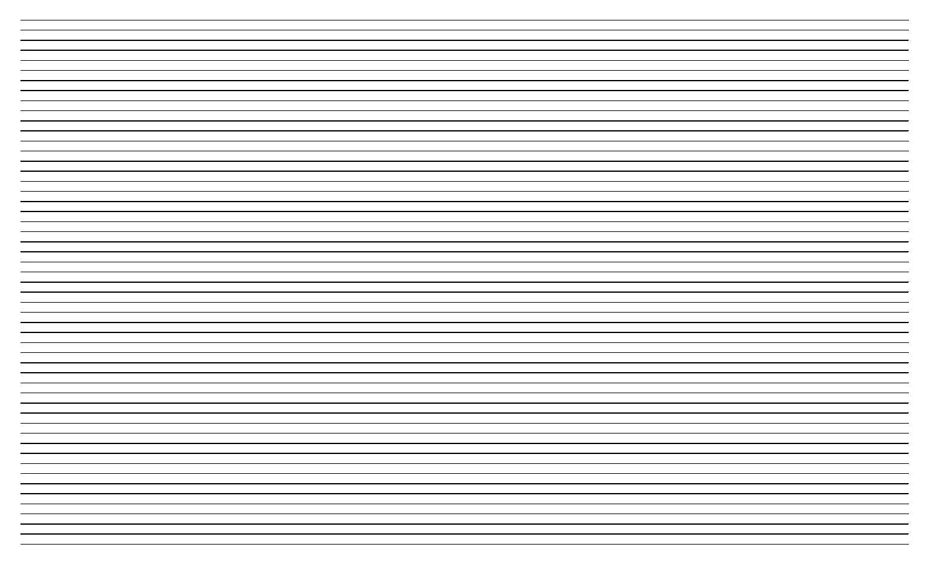| $\frac{1}{2} \left( \frac{1}{2} \right) \left( \frac{1}{2} \right) \left( \frac{1}{2} \right) \left( \frac{1}{2} \right) \left( \frac{1}{2} \right) \left( \frac{1}{2} \right) \left( \frac{1}{2} \right) \left( \frac{1}{2} \right) \left( \frac{1}{2} \right) \left( \frac{1}{2} \right) \left( \frac{1}{2} \right) \left( \frac{1}{2} \right) \left( \frac{1}{2} \right) \left( \frac{1}{2} \right) \left( \frac{1}{2} \right) \left( \frac{1}{2} \right) \left( \frac$ |                                                                                                                                                                                                                                                                                                                                                                                                                                                                            |
|----------------------------------------------------------------------------------------------------------------------------------------------------------------------------------------------------------------------------------------------------------------------------------------------------------------------------------------------------------------------------------------------------------------------------------------------------------------------------|----------------------------------------------------------------------------------------------------------------------------------------------------------------------------------------------------------------------------------------------------------------------------------------------------------------------------------------------------------------------------------------------------------------------------------------------------------------------------|
|                                                                                                                                                                                                                                                                                                                                                                                                                                                                            |                                                                                                                                                                                                                                                                                                                                                                                                                                                                            |
|                                                                                                                                                                                                                                                                                                                                                                                                                                                                            | $\sim$ $\sim$                                                                                                                                                                                                                                                                                                                                                                                                                                                              |
|                                                                                                                                                                                                                                                                                                                                                                                                                                                                            |                                                                                                                                                                                                                                                                                                                                                                                                                                                                            |
|                                                                                                                                                                                                                                                                                                                                                                                                                                                                            |                                                                                                                                                                                                                                                                                                                                                                                                                                                                            |
|                                                                                                                                                                                                                                                                                                                                                                                                                                                                            |                                                                                                                                                                                                                                                                                                                                                                                                                                                                            |
| $\frac{1}{2} \left( \frac{1}{2} \right) \left( \frac{1}{2} \right) \left( \frac{1}{2} \right) \left( \frac{1}{2} \right) \left( \frac{1}{2} \right) \left( \frac{1}{2} \right) \left( \frac{1}{2} \right) \left( \frac{1}{2} \right) \left( \frac{1}{2} \right) \left( \frac{1}{2} \right) \left( \frac{1}{2} \right) \left( \frac{1}{2} \right) \left( \frac{1}{2} \right) \left( \frac{1}{2} \right) \left( \frac{1}{2} \right) \left( \frac{1}{2} \right) \left( \frac$ |                                                                                                                                                                                                                                                                                                                                                                                                                                                                            |
|                                                                                                                                                                                                                                                                                                                                                                                                                                                                            |                                                                                                                                                                                                                                                                                                                                                                                                                                                                            |
|                                                                                                                                                                                                                                                                                                                                                                                                                                                                            |                                                                                                                                                                                                                                                                                                                                                                                                                                                                            |
|                                                                                                                                                                                                                                                                                                                                                                                                                                                                            |                                                                                                                                                                                                                                                                                                                                                                                                                                                                            |
|                                                                                                                                                                                                                                                                                                                                                                                                                                                                            |                                                                                                                                                                                                                                                                                                                                                                                                                                                                            |
|                                                                                                                                                                                                                                                                                                                                                                                                                                                                            |                                                                                                                                                                                                                                                                                                                                                                                                                                                                            |
|                                                                                                                                                                                                                                                                                                                                                                                                                                                                            | $\sim$                                                                                                                                                                                                                                                                                                                                                                                                                                                                     |
|                                                                                                                                                                                                                                                                                                                                                                                                                                                                            |                                                                                                                                                                                                                                                                                                                                                                                                                                                                            |
|                                                                                                                                                                                                                                                                                                                                                                                                                                                                            |                                                                                                                                                                                                                                                                                                                                                                                                                                                                            |
|                                                                                                                                                                                                                                                                                                                                                                                                                                                                            |                                                                                                                                                                                                                                                                                                                                                                                                                                                                            |
|                                                                                                                                                                                                                                                                                                                                                                                                                                                                            | $\frac{1}{2} \left( \frac{1}{2} \right) \left( \frac{1}{2} \right) \left( \frac{1}{2} \right) \left( \frac{1}{2} \right) \left( \frac{1}{2} \right) \left( \frac{1}{2} \right) \left( \frac{1}{2} \right) \left( \frac{1}{2} \right) \left( \frac{1}{2} \right) \left( \frac{1}{2} \right) \left( \frac{1}{2} \right) \left( \frac{1}{2} \right) \left( \frac{1}{2} \right) \left( \frac{1}{2} \right) \left( \frac{1}{2} \right) \left( \frac{1}{2} \right) \left( \frac$ |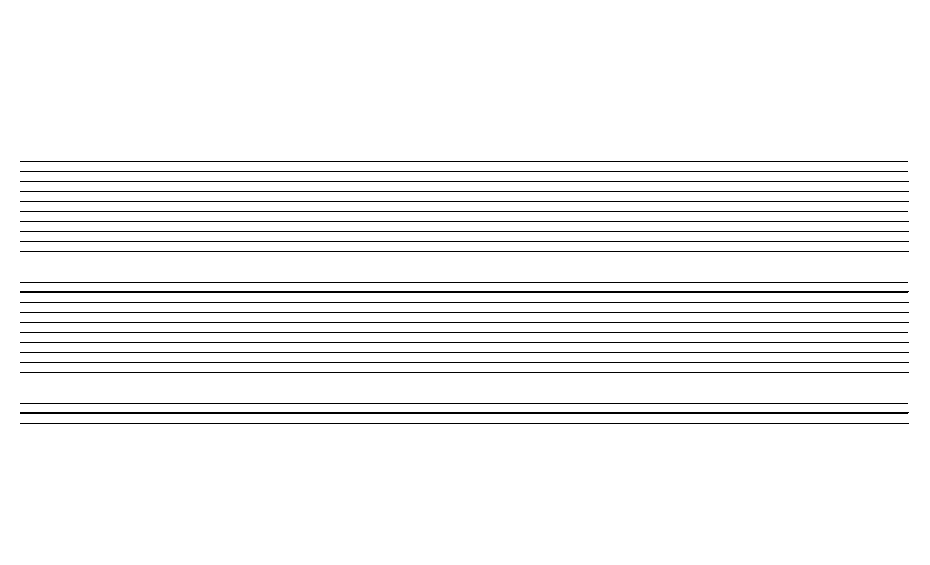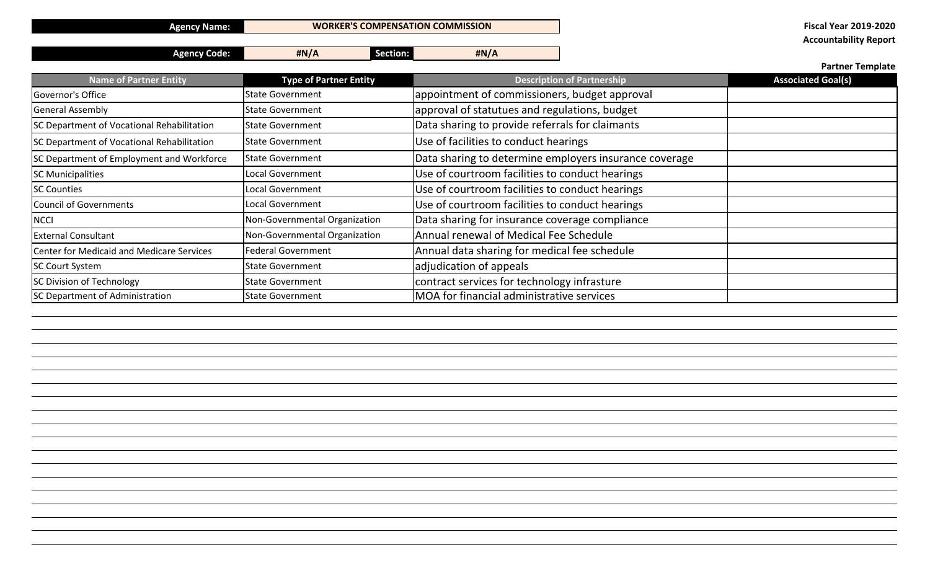**Agency Name:** 

**WORKER'S COMPENSATION COMMISSION**

**Agency Code: #N/A Section: #N/A** 

**Fiscal Year 2019-2020 Accountability Report**

|                                                  |                               |                                                        | <b>Partner Template</b>   |
|--------------------------------------------------|-------------------------------|--------------------------------------------------------|---------------------------|
| <b>Name of Partner Entity</b>                    | <b>Type of Partner Entity</b> | <b>Description of Partnership</b>                      | <b>Associated Goal(s)</b> |
| Governor's Office                                | <b>State Government</b>       | appointment of commissioners, budget approval          |                           |
| <b>General Assembly</b>                          | <b>State Government</b>       | approval of statutues and regulations, budget          |                           |
| SC Department of Vocational Rehabilitation       | <b>State Government</b>       | Data sharing to provide referrals for claimants        |                           |
| SC Department of Vocational Rehabilitation       | <b>State Government</b>       | Use of facilities to conduct hearings                  |                           |
| SC Department of Employment and Workforce        | <b>State Government</b>       | Data sharing to determine employers insurance coverage |                           |
| <b>SC Municipalities</b>                         | <b>Local Government</b>       | Use of courtroom facilities to conduct hearings        |                           |
| <b>SC Counties</b>                               | Local Government              | Use of courtroom facilities to conduct hearings        |                           |
| <b>Council of Governments</b>                    | Local Government              | Use of courtroom facilities to conduct hearings        |                           |
| <b>NCCI</b>                                      | Non-Governmental Organization | Data sharing for insurance coverage compliance         |                           |
| <b>External Consultant</b>                       | Non-Governmental Organization | Annual renewal of Medical Fee Schedule                 |                           |
| <b>Center for Medicaid and Medicare Services</b> | <b>Federal Government</b>     | Annual data sharing for medical fee schedule           |                           |
| <b>SC Court System</b>                           | <b>State Government</b>       | adjudication of appeals                                |                           |
| <b>SC Division of Technology</b>                 | <b>State Government</b>       | contract services for technology infrasture            |                           |
| SC Department of Administration                  | <b>State Government</b>       | MOA for financial administrative services              |                           |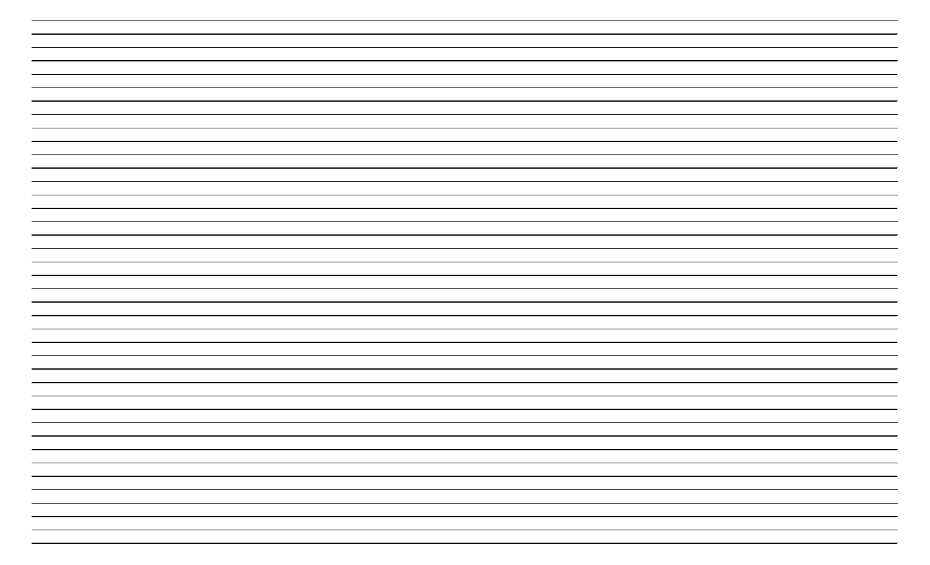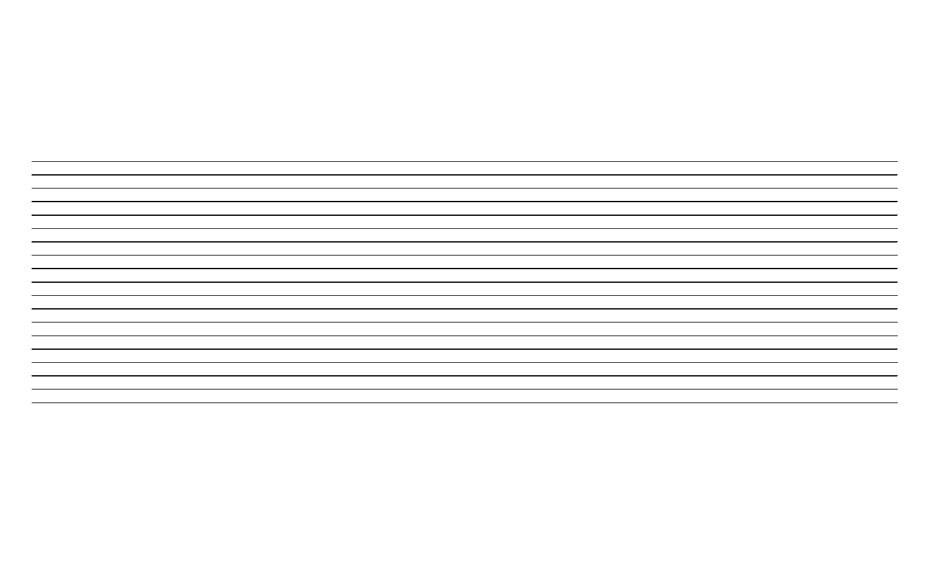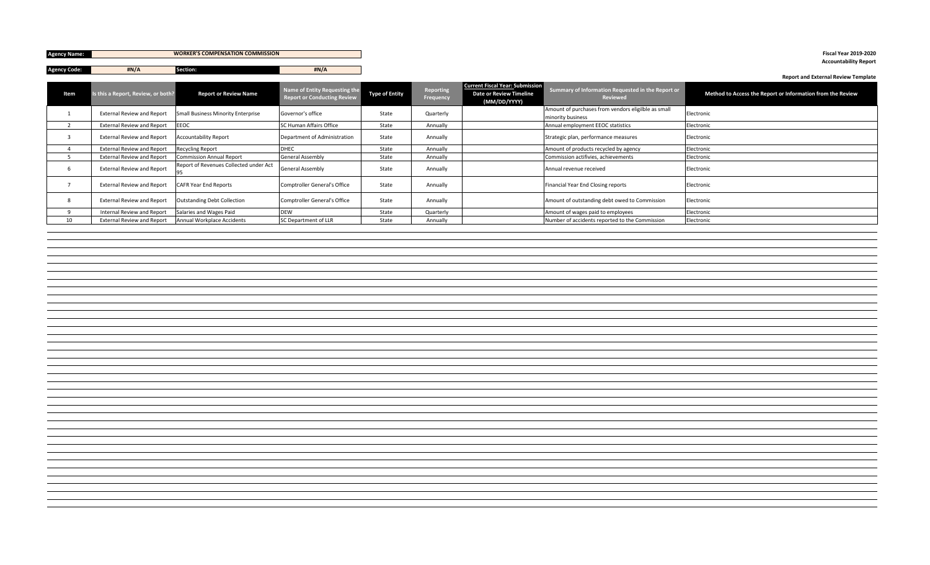| <b>Agency Name:</b>     |                                    | <b>WORKER'S COMPENSATION COMMISSION</b>      |                                                                     |                       |                               |                                                                                          |                                                                          | <b>Fiscal Year 2019-2020</b>                               |
|-------------------------|------------------------------------|----------------------------------------------|---------------------------------------------------------------------|-----------------------|-------------------------------|------------------------------------------------------------------------------------------|--------------------------------------------------------------------------|------------------------------------------------------------|
|                         |                                    |                                              |                                                                     |                       |                               |                                                                                          |                                                                          | <b>Accountability Report</b>                               |
| <b>Agency Code:</b>     | #N/A                               | Section:                                     | #N/A                                                                |                       |                               |                                                                                          |                                                                          | <b>Report and External Review Template</b>                 |
| Item                    | Is this a Report, Review, or both? | <b>Report or Review Name</b>                 | Name of Entity Requesting the<br><b>Report or Conducting Review</b> | <b>Type of Entity</b> | <b>Reporting</b><br>Frequency | <b>Current Fiscal Year: Submission</b><br><b>Date or Review Timeline</b><br>(MM/DD/YYYY) | Summary of Information Requested in the Report or<br>Reviewed            | Method to Access the Report or Information from the Review |
| 1                       | <b>External Review and Report</b>  | <b>Small Business Minority Enterprise</b>    | Governor's office                                                   | State                 | Quarterly                     |                                                                                          | Amount of purchases from vendors eligilble as small<br>minority business | Electronic                                                 |
| $\overline{2}$          | <b>External Review and Report</b>  | EEOC                                         | SC Human Affairs Office                                             | State                 | Annually                      |                                                                                          | Annual employment EEOC statistics                                        | Electronic                                                 |
| $\overline{\mathbf{3}}$ | <b>External Review and Report</b>  | <b>Accountability Report</b>                 | Department of Administration                                        | State                 | Annually                      |                                                                                          | Strategic plan, performance measures                                     | Electronic                                                 |
| $\overline{4}$          | <b>External Review and Report</b>  | <b>Recycling Report</b>                      | <b>DHEC</b>                                                         | State                 | Annually                      |                                                                                          | Amount of products recycled by agency                                    | Electronic                                                 |
| - 5                     | <b>External Review and Report</b>  | <b>Commission Annual Report</b>              | <b>General Assembly</b>                                             | State                 | Annually                      |                                                                                          | Commission actifivies, achievements                                      | Electronic                                                 |
| 6                       | <b>External Review and Report</b>  | Report of Revenues Collected under Act<br>95 | <b>General Assembly</b>                                             | State                 | Annually                      |                                                                                          | Annual revenue received                                                  | Electronic                                                 |
| $\overline{7}$          | <b>External Review and Report</b>  | <b>CAFR Year End Reports</b>                 | Comptroller General's Office                                        | State                 | Annually                      |                                                                                          | Financial Year End Closing reports                                       | Electronic                                                 |
| 8                       | <b>External Review and Report</b>  | <b>Outstanding Debt Collection</b>           | Comptroller General's Office                                        | State                 | Annually                      |                                                                                          | Amount of outstanding debt owed to Commission                            | Electronic                                                 |
| -9                      | Internal Review and Report         | Salaries and Wages Paid                      | <b>DEW</b>                                                          | State                 | Quarterly                     |                                                                                          | Amount of wages paid to employees                                        | Electronic                                                 |
| 10                      | <b>External Review and Report</b>  | Annual Workplace Accidents                   | SC Department of LLR                                                | State                 | Annually                      |                                                                                          | Number of accidents reported to the Commission                           | Electronic                                                 |
|                         |                                    |                                              |                                                                     |                       |                               |                                                                                          |                                                                          |                                                            |
|                         |                                    |                                              |                                                                     |                       |                               |                                                                                          |                                                                          |                                                            |
|                         |                                    |                                              |                                                                     |                       |                               |                                                                                          |                                                                          |                                                            |
|                         |                                    |                                              |                                                                     |                       |                               |                                                                                          |                                                                          |                                                            |
|                         |                                    |                                              |                                                                     |                       |                               |                                                                                          |                                                                          |                                                            |